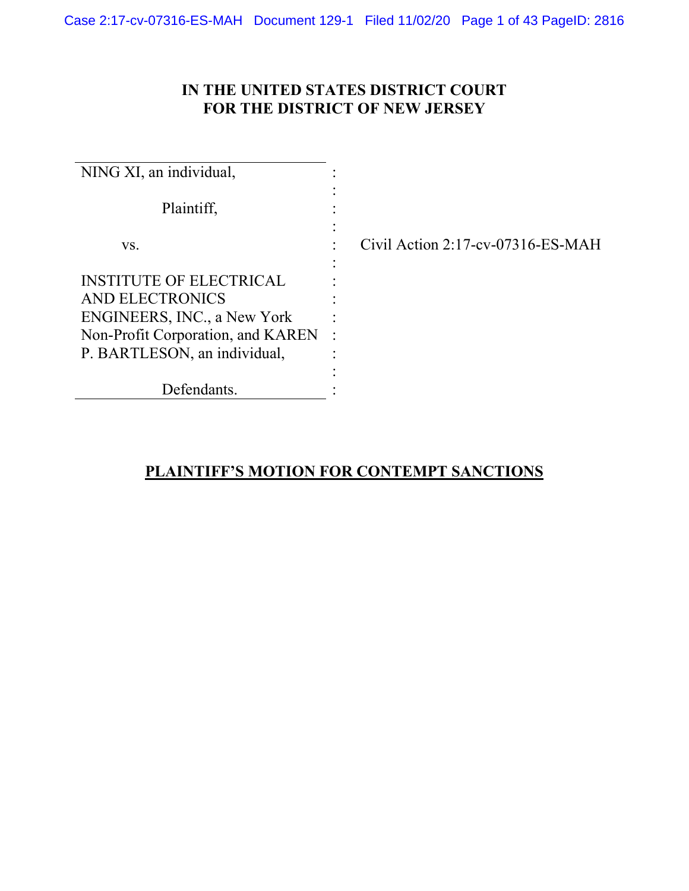# **IN THE UNITED STATES DISTRICT COURT FOR THE DISTRICT OF NEW JERSEY**

| NING XI, an individual,                                                                                                                                      |                                      |
|--------------------------------------------------------------------------------------------------------------------------------------------------------------|--------------------------------------|
| Plaintiff,                                                                                                                                                   |                                      |
| VS.                                                                                                                                                          | Civil Action $2:17$ -cv-07316-ES-MAH |
| <b>INSTITUTE OF ELECTRICAL</b><br>AND ELECTRONICS<br><b>ENGINEERS, INC., a New York</b><br>Non-Profit Corporation, and KAREN<br>P. BARTLESON, an individual, | $\ddot{\cdot}$                       |
| Defendants.                                                                                                                                                  |                                      |

# **PLAINTIFF'S MOTION FOR CONTEMPT SANCTIONS**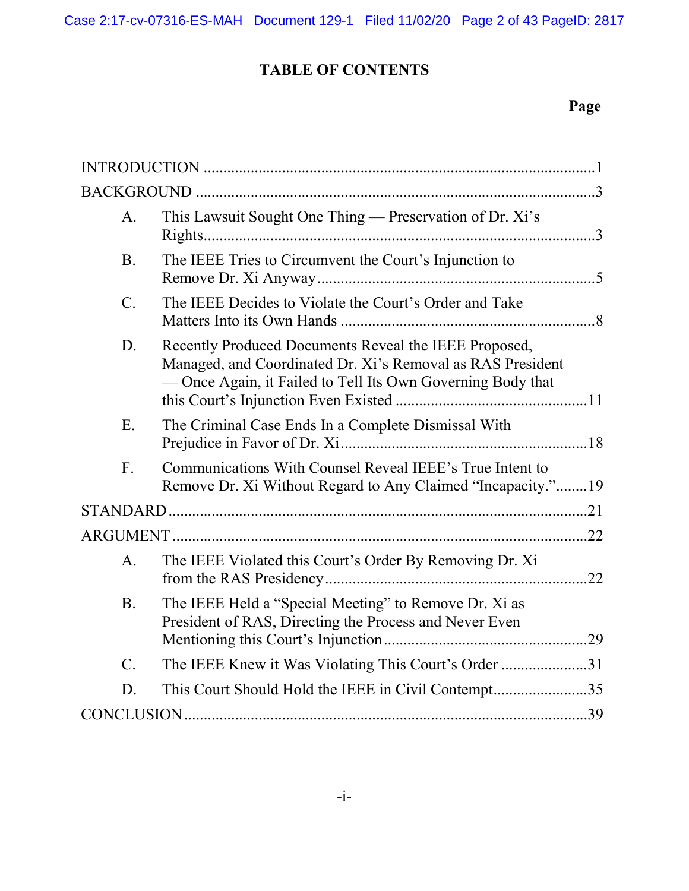# **TABLE OF CONTENTS**

# **Page**

| A.              | This Lawsuit Sought One Thing — Preservation of Dr. Xi's                                                                                                                           |  |
|-----------------|------------------------------------------------------------------------------------------------------------------------------------------------------------------------------------|--|
| <b>B.</b>       | The IEEE Tries to Circumvent the Court's Injunction to                                                                                                                             |  |
| $\mathcal{C}$ . | The IEEE Decides to Violate the Court's Order and Take                                                                                                                             |  |
| D.              | Recently Produced Documents Reveal the IEEE Proposed,<br>Managed, and Coordinated Dr. Xi's Removal as RAS President<br>- Once Again, it Failed to Tell Its Own Governing Body that |  |
| E.              | The Criminal Case Ends In a Complete Dismissal With                                                                                                                                |  |
| F.              | Communications With Counsel Reveal IEEE's True Intent to<br>Remove Dr. Xi Without Regard to Any Claimed "Incapacity."19                                                            |  |
|                 |                                                                                                                                                                                    |  |
|                 |                                                                                                                                                                                    |  |
| A <sub>1</sub>  | The IEEE Violated this Court's Order By Removing Dr. Xi                                                                                                                            |  |
| <b>B.</b>       | The IEEE Held a "Special Meeting" to Remove Dr. Xi as<br>President of RAS, Directing the Process and Never Even                                                                    |  |
| $C_{\cdot}$     | The IEEE Knew it Was Violating This Court's Order 31                                                                                                                               |  |
| D.              | This Court Should Hold the IEEE in Civil Contempt35                                                                                                                                |  |
|                 |                                                                                                                                                                                    |  |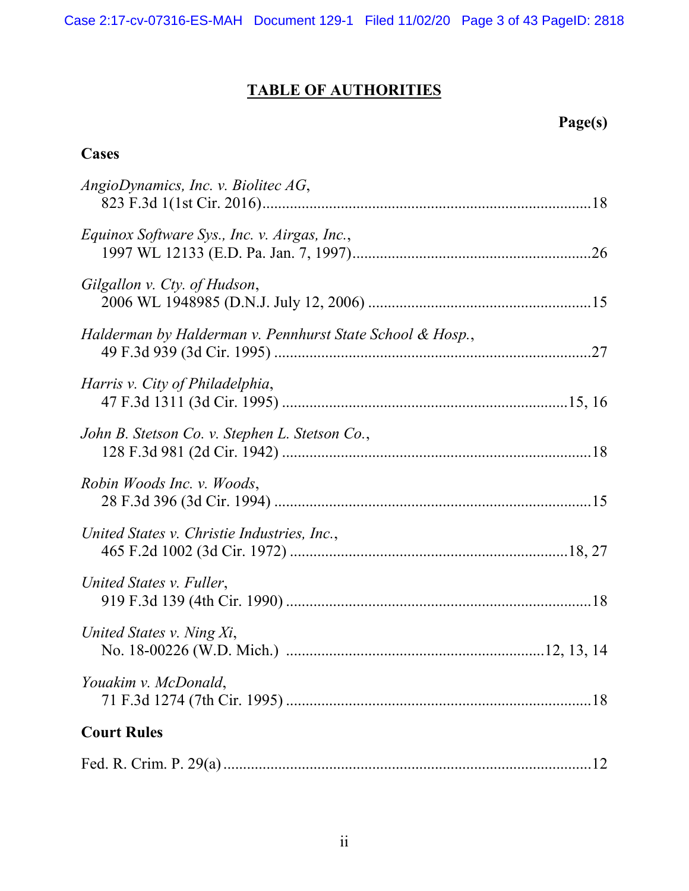# **TABLE OF AUTHORITIES**

# **Page(s)**

# **Cases**

| AngioDynamics, Inc. v. Biolitec AG,                       |
|-----------------------------------------------------------|
| Equinox Software Sys., Inc. v. Airgas, Inc.,              |
| Gilgallon v. Cty. of Hudson,                              |
| Halderman by Halderman v. Pennhurst State School & Hosp., |
| Harris v. City of Philadelphia,                           |
| John B. Stetson Co. v. Stephen L. Stetson Co.,            |
| Robin Woods Inc. v. Woods,                                |
| United States v. Christie Industries, Inc.,               |
| United States v. Fuller,                                  |
| United States v. Ning Xi,                                 |
| Youakim v. McDonald,                                      |
| <b>Court Rules</b>                                        |
|                                                           |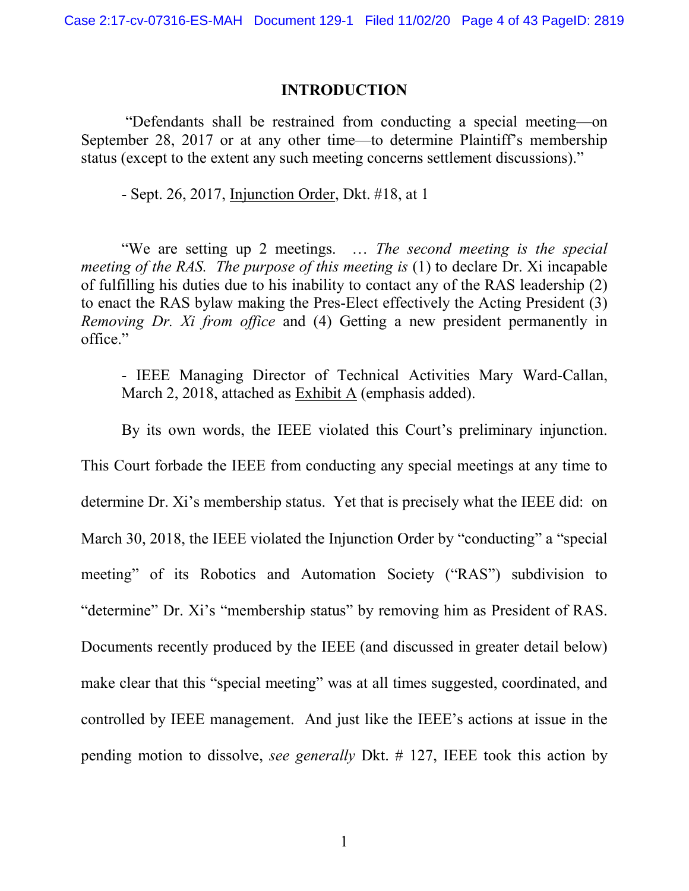#### **INTRODUCTION**

"Defendants shall be restrained from conducting a special meeting—on September 28, 2017 or at any other time—to determine Plaintiff's membership status (except to the extent any such meeting concerns settlement discussions)."

- Sept. 26, 2017, Injunction Order, Dkt. #18, at 1

"We are setting up 2 meetings. … *The second meeting is the special meeting of the RAS. The purpose of this meeting is* (1) to declare Dr. Xi incapable of fulfilling his duties due to his inability to contact any of the RAS leadership (2) to enact the RAS bylaw making the Pres-Elect effectively the Acting President (3) *Removing Dr. Xi from office* and (4) Getting a new president permanently in office."

- IEEE Managing Director of Technical Activities Mary Ward-Callan, March 2, 2018, attached as Exhibit A (emphasis added).

By its own words, the IEEE violated this Court's preliminary injunction.

This Court forbade the IEEE from conducting any special meetings at any time to determine Dr. Xi's membership status. Yet that is precisely what the IEEE did: on March 30, 2018, the IEEE violated the Injunction Order by "conducting" a "special meeting" of its Robotics and Automation Society ("RAS") subdivision to "determine" Dr. Xi's "membership status" by removing him as President of RAS. Documents recently produced by the IEEE (and discussed in greater detail below) make clear that this "special meeting" was at all times suggested, coordinated, and controlled by IEEE management. And just like the IEEE's actions at issue in the pending motion to dissolve, *see generally* Dkt. # 127, IEEE took this action by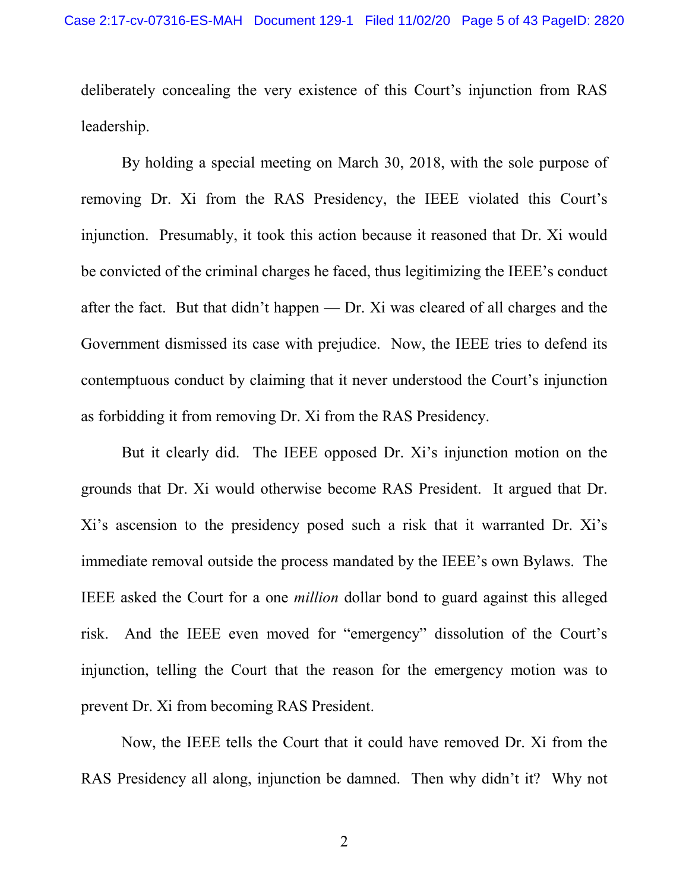deliberately concealing the very existence of this Court's injunction from RAS leadership.

By holding a special meeting on March 30, 2018, with the sole purpose of removing Dr. Xi from the RAS Presidency, the IEEE violated this Court's injunction. Presumably, it took this action because it reasoned that Dr. Xi would be convicted of the criminal charges he faced, thus legitimizing the IEEE's conduct after the fact. But that didn't happen — Dr. Xi was cleared of all charges and the Government dismissed its case with prejudice. Now, the IEEE tries to defend its contemptuous conduct by claiming that it never understood the Court's injunction as forbidding it from removing Dr. Xi from the RAS Presidency.

But it clearly did. The IEEE opposed Dr. Xi's injunction motion on the grounds that Dr. Xi would otherwise become RAS President. It argued that Dr. Xi's ascension to the presidency posed such a risk that it warranted Dr. Xi's immediate removal outside the process mandated by the IEEE's own Bylaws. The IEEE asked the Court for a one *million* dollar bond to guard against this alleged risk. And the IEEE even moved for "emergency" dissolution of the Court's injunction, telling the Court that the reason for the emergency motion was to prevent Dr. Xi from becoming RAS President.

Now, the IEEE tells the Court that it could have removed Dr. Xi from the RAS Presidency all along, injunction be damned. Then why didn't it? Why not

2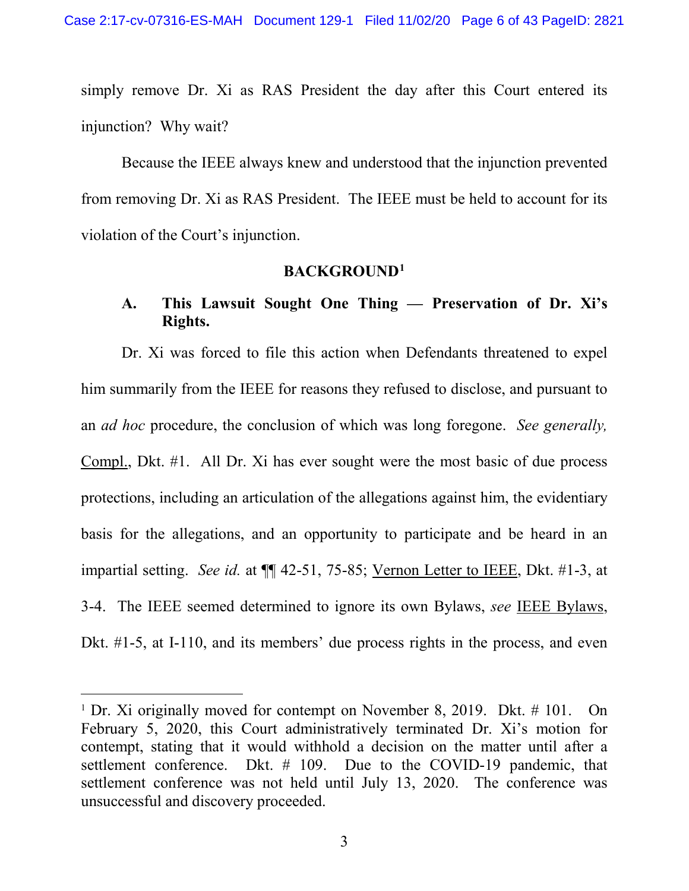simply remove Dr. Xi as RAS President the day after this Court entered its injunction? Why wait?

Because the IEEE always knew and understood that the injunction prevented from removing Dr. Xi as RAS President. The IEEE must be held to account for its violation of the Court's injunction.

# **BACKGROUND[1](#page-5-0)**

## **A. This Lawsuit Sought One Thing — Preservation of Dr. Xi's Rights.**

Dr. Xi was forced to file this action when Defendants threatened to expel him summarily from the IEEE for reasons they refused to disclose, and pursuant to an *ad hoc* procedure, the conclusion of which was long foregone. *See generally,*  Compl., Dkt. #1. All Dr. Xi has ever sought were the most basic of due process protections, including an articulation of the allegations against him, the evidentiary basis for the allegations, and an opportunity to participate and be heard in an impartial setting. *See id.* at ¶¶ 42-51, 75-85; Vernon Letter to IEEE, Dkt. #1-3, at 3-4. The IEEE seemed determined to ignore its own Bylaws, *see* IEEE Bylaws, Dkt. #1-5, at I-110, and its members' due process rights in the process, and even

<span id="page-5-0"></span><sup>&</sup>lt;sup>1</sup> Dr. Xi originally moved for contempt on November 8, 2019. Dkt. # 101. On February 5, 2020, this Court administratively terminated Dr. Xi's motion for contempt, stating that it would withhold a decision on the matter until after a settlement conference. Dkt. # 109. Due to the COVID-19 pandemic, that settlement conference was not held until July 13, 2020. The conference was unsuccessful and discovery proceeded.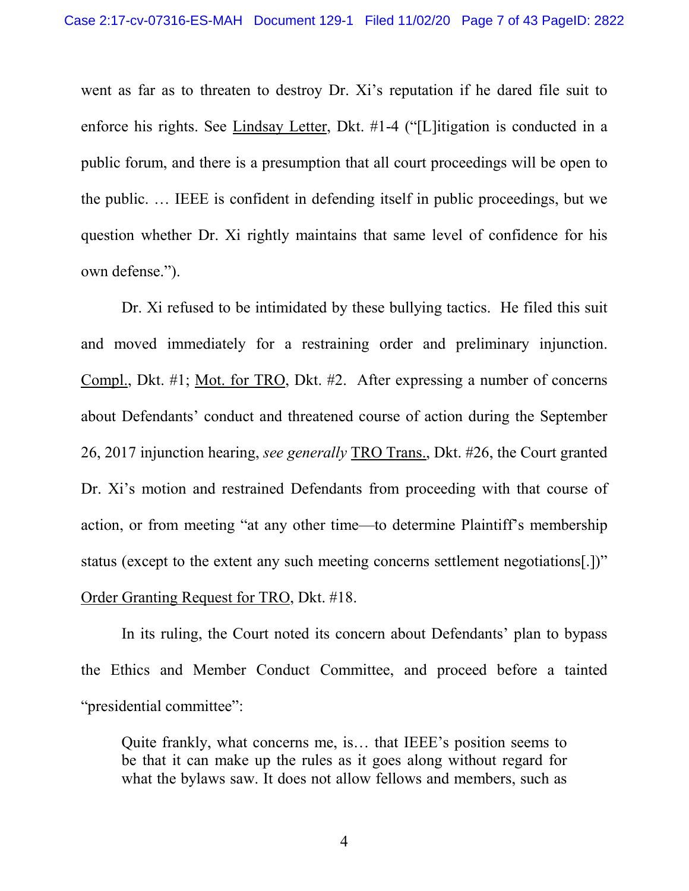went as far as to threaten to destroy Dr. Xi's reputation if he dared file suit to enforce his rights. See Lindsay Letter, Dkt. #1-4 ("[L]itigation is conducted in a public forum, and there is a presumption that all court proceedings will be open to the public. … IEEE is confident in defending itself in public proceedings, but we question whether Dr. Xi rightly maintains that same level of confidence for his own defense.").

Dr. Xi refused to be intimidated by these bullying tactics. He filed this suit and moved immediately for a restraining order and preliminary injunction. Compl., Dkt. #1; Mot. for TRO, Dkt. #2. After expressing a number of concerns about Defendants' conduct and threatened course of action during the September 26, 2017 injunction hearing, *see generally* TRO Trans., Dkt. #26, the Court granted Dr. Xi's motion and restrained Defendants from proceeding with that course of action, or from meeting "at any other time—to determine Plaintiff's membership status (except to the extent any such meeting concerns settlement negotiations[.])" Order Granting Request for TRO, Dkt. #18.

In its ruling, the Court noted its concern about Defendants' plan to bypass the Ethics and Member Conduct Committee, and proceed before a tainted "presidential committee":

Quite frankly, what concerns me, is… that IEEE's position seems to be that it can make up the rules as it goes along without regard for what the bylaws saw. It does not allow fellows and members, such as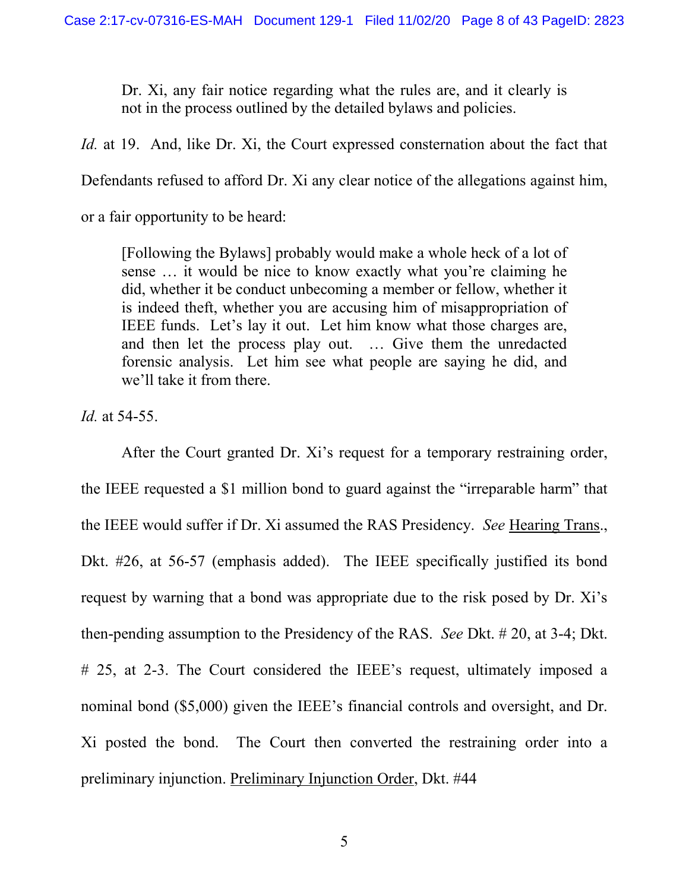Dr. Xi, any fair notice regarding what the rules are, and it clearly is not in the process outlined by the detailed bylaws and policies.

*Id.* at 19. And, like Dr. Xi, the Court expressed consternation about the fact that

Defendants refused to afford Dr. Xi any clear notice of the allegations against him,

or a fair opportunity to be heard:

[Following the Bylaws] probably would make a whole heck of a lot of sense … it would be nice to know exactly what you're claiming he did, whether it be conduct unbecoming a member or fellow, whether it is indeed theft, whether you are accusing him of misappropriation of IEEE funds. Let's lay it out. Let him know what those charges are, and then let the process play out. … Give them the unredacted forensic analysis. Let him see what people are saying he did, and we'll take it from there.

*Id.* at 54-55.

After the Court granted Dr. Xi's request for a temporary restraining order, the IEEE requested a \$1 million bond to guard against the "irreparable harm" that the IEEE would suffer if Dr. Xi assumed the RAS Presidency. *See* Hearing Trans., Dkt. #26, at 56-57 (emphasis added). The IEEE specifically justified its bond request by warning that a bond was appropriate due to the risk posed by Dr. Xi's then-pending assumption to the Presidency of the RAS. *See* Dkt. # 20, at 3-4; Dkt. # 25, at 2-3. The Court considered the IEEE's request, ultimately imposed a nominal bond (\$5,000) given the IEEE's financial controls and oversight, and Dr. Xi posted the bond. The Court then converted the restraining order into a preliminary injunction. Preliminary Injunction Order, Dkt. #44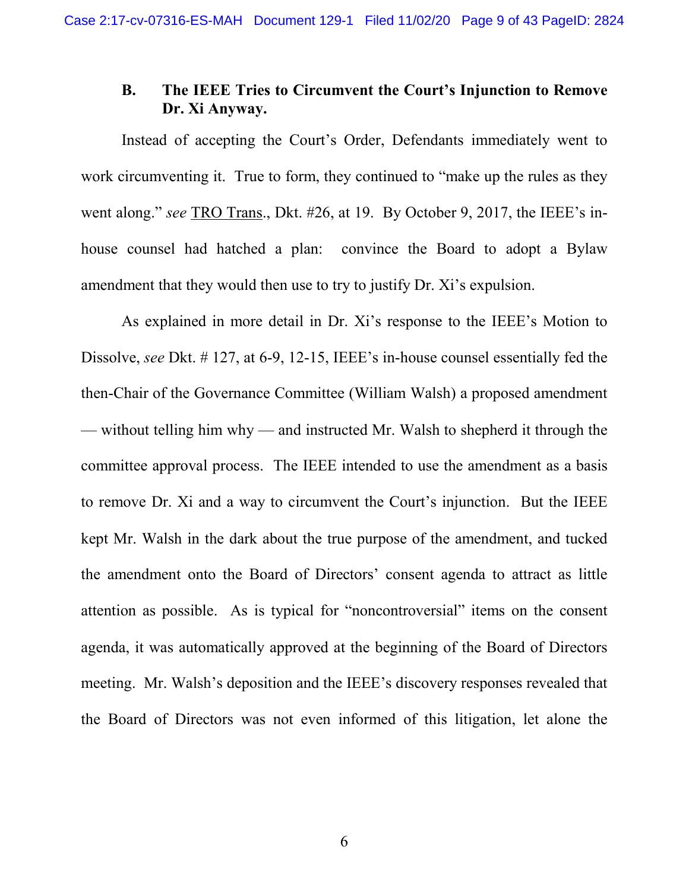## **B. The IEEE Tries to Circumvent the Court's Injunction to Remove Dr. Xi Anyway.**

Instead of accepting the Court's Order, Defendants immediately went to work circumventing it. True to form, they continued to "make up the rules as they went along." *see* TRO Trans., Dkt. #26, at 19. By October 9, 2017, the IEEE's inhouse counsel had hatched a plan: convince the Board to adopt a Bylaw amendment that they would then use to try to justify Dr. Xi's expulsion.

As explained in more detail in Dr. Xi's response to the IEEE's Motion to Dissolve, *see* Dkt. # 127, at 6-9, 12-15, IEEE's in-house counsel essentially fed the then-Chair of the Governance Committee (William Walsh) a proposed amendment — without telling him why — and instructed Mr. Walsh to shepherd it through the committee approval process. The IEEE intended to use the amendment as a basis to remove Dr. Xi and a way to circumvent the Court's injunction. But the IEEE kept Mr. Walsh in the dark about the true purpose of the amendment, and tucked the amendment onto the Board of Directors' consent agenda to attract as little attention as possible. As is typical for "noncontroversial" items on the consent agenda, it was automatically approved at the beginning of the Board of Directors meeting. Mr. Walsh's deposition and the IEEE's discovery responses revealed that the Board of Directors was not even informed of this litigation, let alone the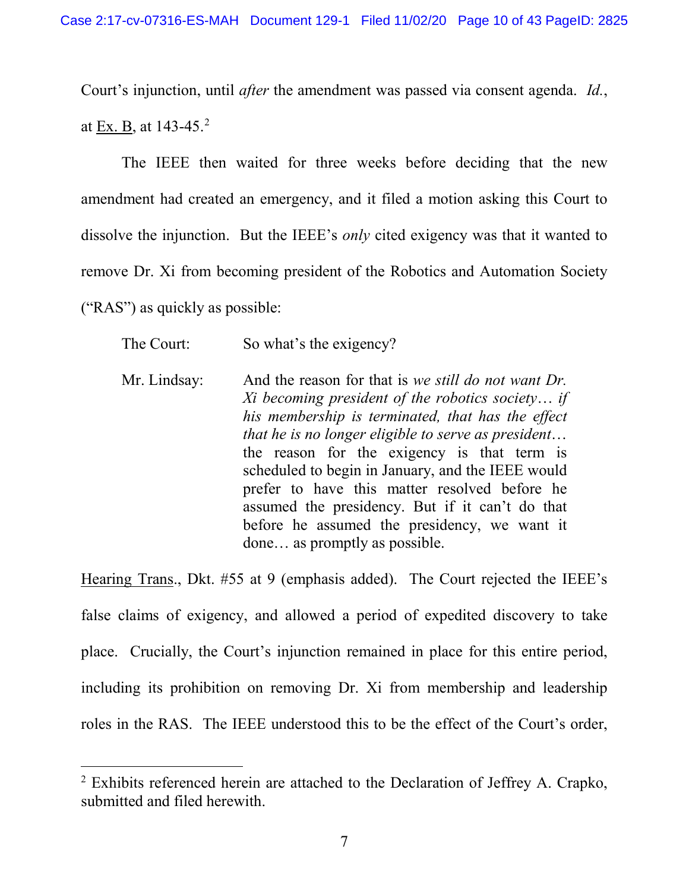Court's injunction, until *after* the amendment was passed via consent agenda. *Id.*, at Ex. B, at 143-45.[2](#page-9-0)

The IEEE then waited for three weeks before deciding that the new amendment had created an emergency, and it filed a motion asking this Court to dissolve the injunction. But the IEEE's *only* cited exigency was that it wanted to remove Dr. Xi from becoming president of the Robotics and Automation Society ("RAS") as quickly as possible:

The Court: So what's the exigency?

Mr. Lindsay: And the reason for that is *we still do not want Dr. Xi becoming president of the robotics society*… *if his membership is terminated, that has the effect that he is no longer eligible to serve as president*… the reason for the exigency is that term is scheduled to begin in January, and the IEEE would prefer to have this matter resolved before he assumed the presidency. But if it can't do that before he assumed the presidency, we want it done… as promptly as possible.

Hearing Trans., Dkt. #55 at 9 (emphasis added). The Court rejected the IEEE's false claims of exigency, and allowed a period of expedited discovery to take place. Crucially, the Court's injunction remained in place for this entire period, including its prohibition on removing Dr. Xi from membership and leadership roles in the RAS. The IEEE understood this to be the effect of the Court's order,

<span id="page-9-0"></span> <sup>2</sup> Exhibits referenced herein are attached to the Declaration of Jeffrey A. Crapko, submitted and filed herewith.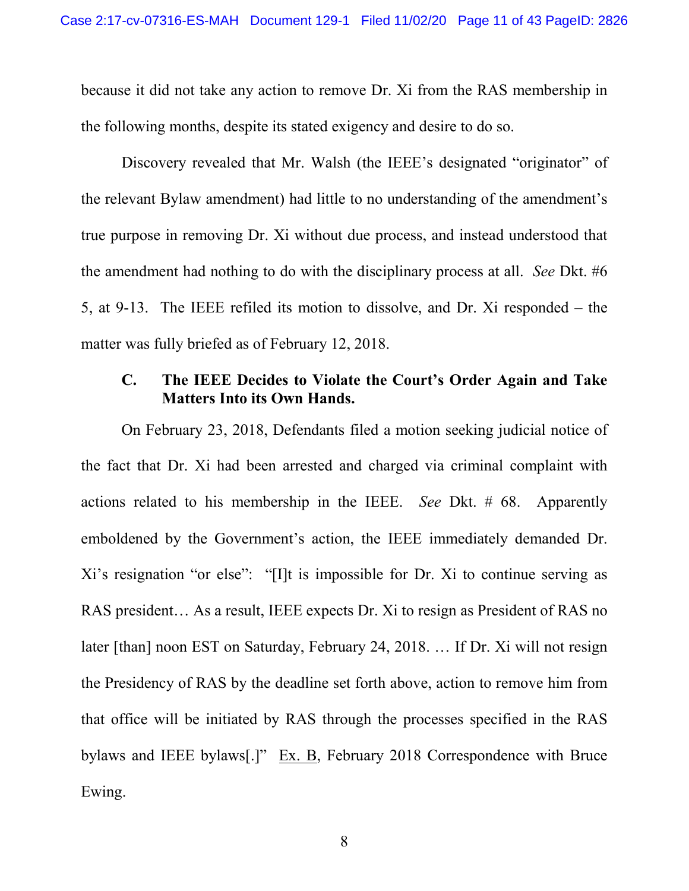because it did not take any action to remove Dr. Xi from the RAS membership in the following months, despite its stated exigency and desire to do so.

Discovery revealed that Mr. Walsh (the IEEE's designated "originator" of the relevant Bylaw amendment) had little to no understanding of the amendment's true purpose in removing Dr. Xi without due process, and instead understood that the amendment had nothing to do with the disciplinary process at all. *See* Dkt. #6 5, at 9-13. The IEEE refiled its motion to dissolve, and Dr. Xi responded – the matter was fully briefed as of February 12, 2018.

### **C. The IEEE Decides to Violate the Court's Order Again and Take Matters Into its Own Hands.**

On February 23, 2018, Defendants filed a motion seeking judicial notice of the fact that Dr. Xi had been arrested and charged via criminal complaint with actions related to his membership in the IEEE. *See* Dkt. # 68. Apparently emboldened by the Government's action, the IEEE immediately demanded Dr. Xi's resignation "or else": "[I]t is impossible for Dr. Xi to continue serving as RAS president… As a result, IEEE expects Dr. Xi to resign as President of RAS no later [than] noon EST on Saturday, February 24, 2018. … If Dr. Xi will not resign the Presidency of RAS by the deadline set forth above, action to remove him from that office will be initiated by RAS through the processes specified in the RAS bylaws and IEEE bylaws[.]" Ex. B, February 2018 Correspondence with Bruce Ewing.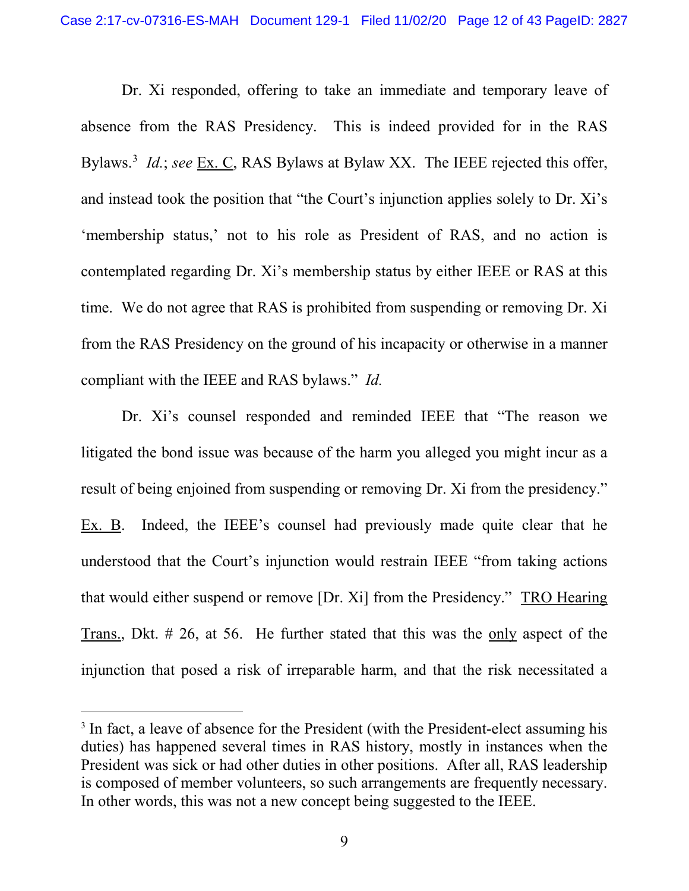Dr. Xi responded, offering to take an immediate and temporary leave of absence from the RAS Presidency. This is indeed provided for in the RAS Bylaws.<sup>[3](#page-11-0)</sup> *Id.*; *see* Ex. C, RAS Bylaws at Bylaw XX. The IEEE rejected this offer, and instead took the position that "the Court's injunction applies solely to Dr. Xi's 'membership status,' not to his role as President of RAS, and no action is contemplated regarding Dr. Xi's membership status by either IEEE or RAS at this time. We do not agree that RAS is prohibited from suspending or removing Dr. Xi from the RAS Presidency on the ground of his incapacity or otherwise in a manner compliant with the IEEE and RAS bylaws." *Id.*

Dr. Xi's counsel responded and reminded IEEE that "The reason we litigated the bond issue was because of the harm you alleged you might incur as a result of being enjoined from suspending or removing Dr. Xi from the presidency." Ex. B. Indeed, the IEEE's counsel had previously made quite clear that he understood that the Court's injunction would restrain IEEE "from taking actions that would either suspend or remove [Dr. Xi] from the Presidency." TRO Hearing Trans., Dkt. # 26, at 56. He further stated that this was the only aspect of the injunction that posed a risk of irreparable harm, and that the risk necessitated a

<span id="page-11-0"></span><sup>&</sup>lt;sup>3</sup> In fact, a leave of absence for the President (with the President-elect assuming his duties) has happened several times in RAS history, mostly in instances when the President was sick or had other duties in other positions. After all, RAS leadership is composed of member volunteers, so such arrangements are frequently necessary. In other words, this was not a new concept being suggested to the IEEE.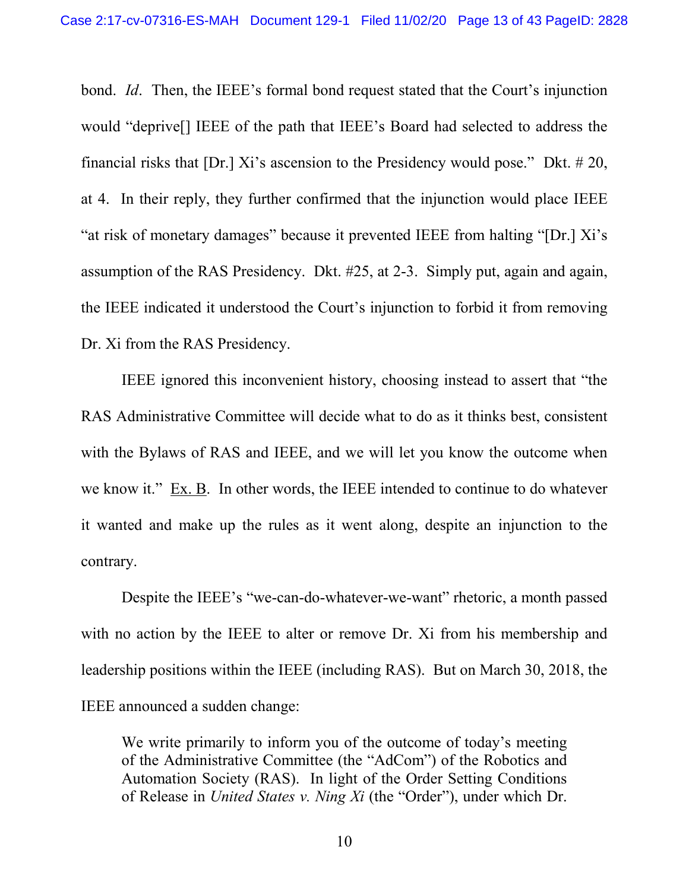bond. *Id*. Then, the IEEE's formal bond request stated that the Court's injunction would "deprive[] IEEE of the path that IEEE's Board had selected to address the financial risks that [Dr.] Xi's ascension to the Presidency would pose." Dkt. # 20, at 4. In their reply, they further confirmed that the injunction would place IEEE "at risk of monetary damages" because it prevented IEEE from halting "[Dr.] Xi's assumption of the RAS Presidency. Dkt. #25, at 2-3. Simply put, again and again, the IEEE indicated it understood the Court's injunction to forbid it from removing Dr. Xi from the RAS Presidency.

IEEE ignored this inconvenient history, choosing instead to assert that "the RAS Administrative Committee will decide what to do as it thinks best, consistent with the Bylaws of RAS and IEEE, and we will let you know the outcome when we know it." Ex. B. In other words, the IEEE intended to continue to do whatever it wanted and make up the rules as it went along, despite an injunction to the contrary.

Despite the IEEE's "we-can-do-whatever-we-want" rhetoric, a month passed with no action by the IEEE to alter or remove Dr. Xi from his membership and leadership positions within the IEEE (including RAS). But on March 30, 2018, the IEEE announced a sudden change:

We write primarily to inform you of the outcome of today's meeting of the Administrative Committee (the "AdCom") of the Robotics and Automation Society (RAS). In light of the Order Setting Conditions of Release in *United States v. Ning Xi* (the "Order"), under which Dr.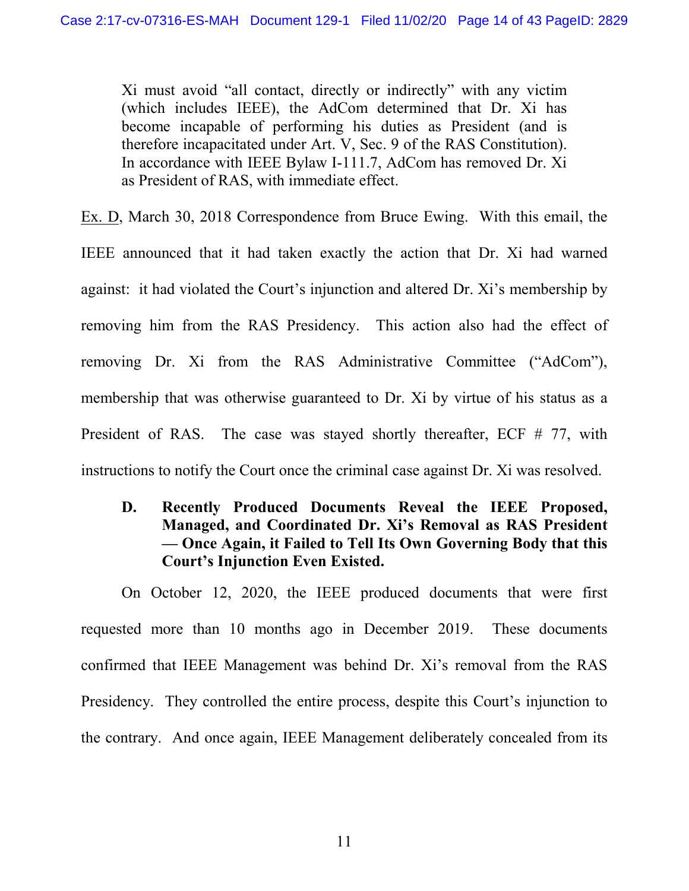Xi must avoid "all contact, directly or indirectly" with any victim (which includes IEEE), the AdCom determined that Dr. Xi has become incapable of performing his duties as President (and is therefore incapacitated under Art. V, Sec. 9 of the RAS Constitution). In accordance with IEEE Bylaw I-111.7, AdCom has removed Dr. Xi as President of RAS, with immediate effect.

Ex. D, March 30, 2018 Correspondence from Bruce Ewing. With this email, the IEEE announced that it had taken exactly the action that Dr. Xi had warned against: it had violated the Court's injunction and altered Dr. Xi's membership by removing him from the RAS Presidency. This action also had the effect of removing Dr. Xi from the RAS Administrative Committee ("AdCom"), membership that was otherwise guaranteed to Dr. Xi by virtue of his status as a President of RAS. The case was stayed shortly thereafter, ECF # 77, with instructions to notify the Court once the criminal case against Dr. Xi was resolved.

**D. Recently Produced Documents Reveal the IEEE Proposed, Managed, and Coordinated Dr. Xi's Removal as RAS President — Once Again, it Failed to Tell Its Own Governing Body that this Court's Injunction Even Existed.** 

On October 12, 2020, the IEEE produced documents that were first requested more than 10 months ago in December 2019. These documents confirmed that IEEE Management was behind Dr. Xi's removal from the RAS Presidency. They controlled the entire process, despite this Court's injunction to the contrary. And once again, IEEE Management deliberately concealed from its

11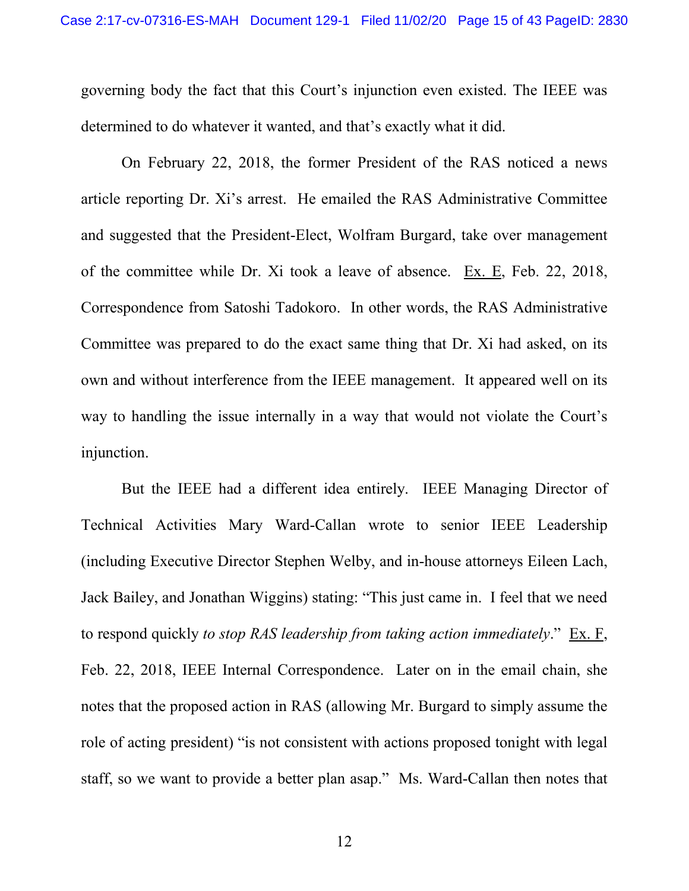governing body the fact that this Court's injunction even existed. The IEEE was determined to do whatever it wanted, and that's exactly what it did.

On February 22, 2018, the former President of the RAS noticed a news article reporting Dr. Xi's arrest. He emailed the RAS Administrative Committee and suggested that the President-Elect, Wolfram Burgard, take over management of the committee while Dr. Xi took a leave of absence. Ex. E, Feb. 22, 2018, Correspondence from Satoshi Tadokoro. In other words, the RAS Administrative Committee was prepared to do the exact same thing that Dr. Xi had asked, on its own and without interference from the IEEE management. It appeared well on its way to handling the issue internally in a way that would not violate the Court's injunction.

But the IEEE had a different idea entirely. IEEE Managing Director of Technical Activities Mary Ward-Callan wrote to senior IEEE Leadership (including Executive Director Stephen Welby, and in-house attorneys Eileen Lach, Jack Bailey, and Jonathan Wiggins) stating: "This just came in. I feel that we need to respond quickly *to stop RAS leadership from taking action immediately*." Ex. F, Feb. 22, 2018, IEEE Internal Correspondence. Later on in the email chain, she notes that the proposed action in RAS (allowing Mr. Burgard to simply assume the role of acting president) "is not consistent with actions proposed tonight with legal staff, so we want to provide a better plan asap." Ms. Ward-Callan then notes that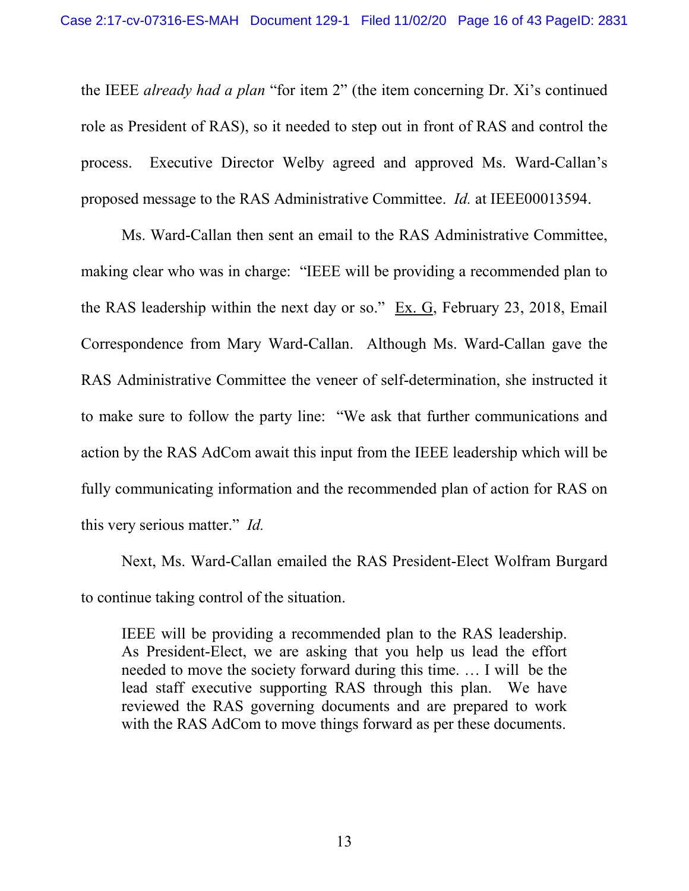the IEEE *already had a plan* "for item 2" (the item concerning Dr. Xi's continued role as President of RAS), so it needed to step out in front of RAS and control the process. Executive Director Welby agreed and approved Ms. Ward-Callan's proposed message to the RAS Administrative Committee. *Id.* at IEEE00013594.

Ms. Ward-Callan then sent an email to the RAS Administrative Committee, making clear who was in charge: "IEEE will be providing a recommended plan to the RAS leadership within the next day or so."  $Ex. G$ , February 23, 2018, Email Correspondence from Mary Ward-Callan. Although Ms. Ward-Callan gave the RAS Administrative Committee the veneer of self-determination, she instructed it to make sure to follow the party line: "We ask that further communications and action by the RAS AdCom await this input from the IEEE leadership which will be fully communicating information and the recommended plan of action for RAS on this very serious matter." *Id.*

Next, Ms. Ward-Callan emailed the RAS President-Elect Wolfram Burgard to continue taking control of the situation.

IEEE will be providing a recommended plan to the RAS leadership. As President-Elect, we are asking that you help us lead the effort needed to move the society forward during this time. … I will be the lead staff executive supporting RAS through this plan. We have reviewed the RAS governing documents and are prepared to work with the RAS AdCom to move things forward as per these documents.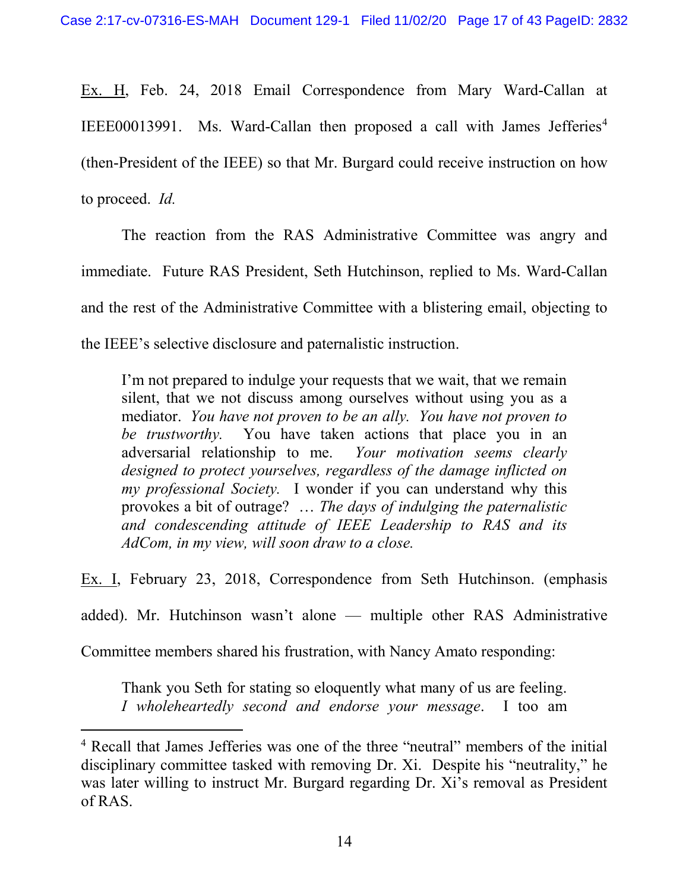Ex. H, Feb. 24, 2018 Email Correspondence from Mary Ward-Callan at IEEE00013991. Ms. Ward-Callan then proposed a call with James Jefferies<sup>[4](#page-16-0)</sup> (then-President of the IEEE) so that Mr. Burgard could receive instruction on how to proceed. *Id.*

The reaction from the RAS Administrative Committee was angry and immediate. Future RAS President, Seth Hutchinson, replied to Ms. Ward-Callan and the rest of the Administrative Committee with a blistering email, objecting to the IEEE's selective disclosure and paternalistic instruction.

I'm not prepared to indulge your requests that we wait, that we remain silent, that we not discuss among ourselves without using you as a mediator. *You have not proven to be an ally. You have not proven to be trustworthy.* You have taken actions that place you in an adversarial relationship to me. *Your motivation seems clearly designed to protect yourselves, regardless of the damage inflicted on my professional Society.* I wonder if you can understand why this provokes a bit of outrage? … *The days of indulging the paternalistic and condescending attitude of IEEE Leadership to RAS and its AdCom, in my view, will soon draw to a close.*

Ex. I, February 23, 2018, Correspondence from Seth Hutchinson. (emphasis

added). Mr. Hutchinson wasn't alone — multiple other RAS Administrative

Committee members shared his frustration, with Nancy Amato responding:

Thank you Seth for stating so eloquently what many of us are feeling. *I wholeheartedly second and endorse your message*. I too am

<span id="page-16-0"></span> <sup>4</sup> Recall that James Jefferies was one of the three "neutral" members of the initial disciplinary committee tasked with removing Dr. Xi. Despite his "neutrality," he was later willing to instruct Mr. Burgard regarding Dr. Xi's removal as President of RAS.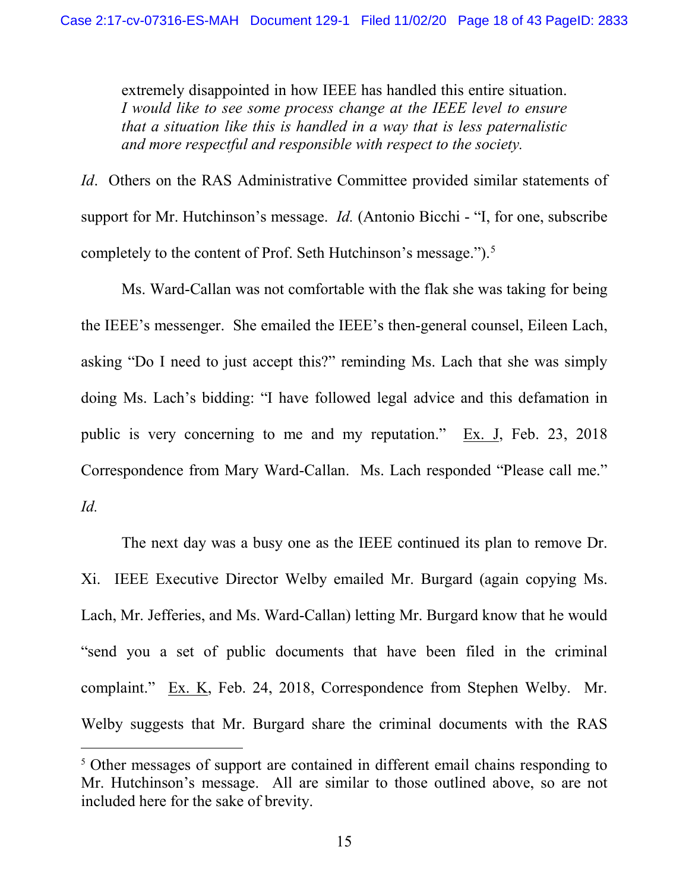extremely disappointed in how IEEE has handled this entire situation. *I would like to see some process change at the IEEE level to ensure that a situation like this is handled in a way that is less paternalistic and more respectful and responsible with respect to the society.*

*Id.* Others on the RAS Administrative Committee provided similar statements of support for Mr. Hutchinson's message. *Id.* (Antonio Bicchi - "I, for one, subscribe completely to the content of Prof. Seth Hutchinson's message.").<sup>[5](#page-17-0)</sup>

Ms. Ward-Callan was not comfortable with the flak she was taking for being the IEEE's messenger. She emailed the IEEE's then-general counsel, Eileen Lach, asking "Do I need to just accept this?" reminding Ms. Lach that she was simply doing Ms. Lach's bidding: "I have followed legal advice and this defamation in public is very concerning to me and my reputation." Ex. J, Feb. 23, 2018 Correspondence from Mary Ward-Callan. Ms. Lach responded "Please call me." *Id.*

The next day was a busy one as the IEEE continued its plan to remove Dr. Xi. IEEE Executive Director Welby emailed Mr. Burgard (again copying Ms. Lach, Mr. Jefferies, and Ms. Ward-Callan) letting Mr. Burgard know that he would "send you a set of public documents that have been filed in the criminal complaint." Ex. K, Feb. 24, 2018, Correspondence from Stephen Welby. Mr. Welby suggests that Mr. Burgard share the criminal documents with the RAS

<span id="page-17-0"></span><sup>&</sup>lt;sup>5</sup> Other messages of support are contained in different email chains responding to Mr. Hutchinson's message. All are similar to those outlined above, so are not included here for the sake of brevity.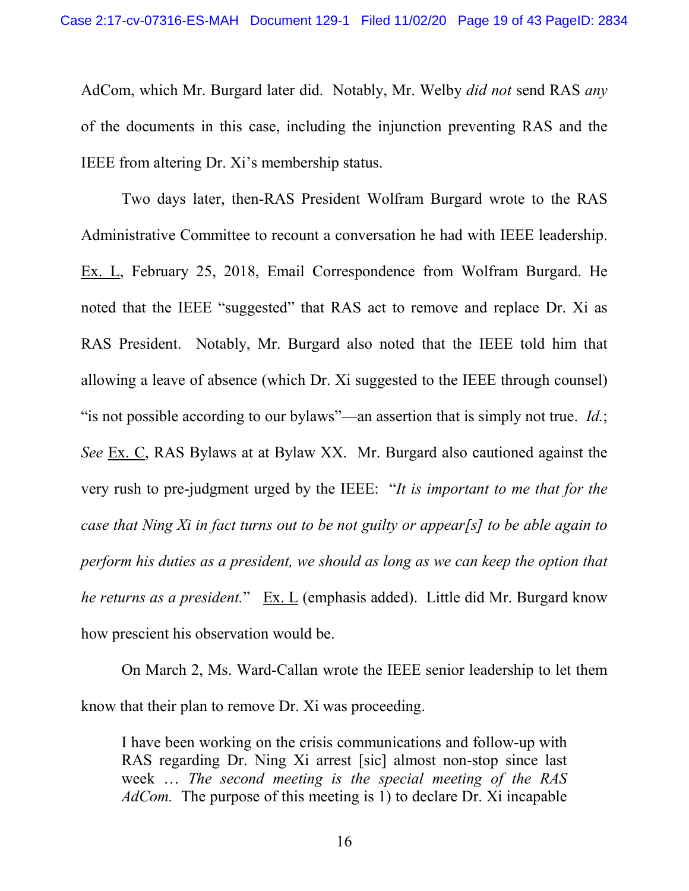AdCom, which Mr. Burgard later did. Notably, Mr. Welby *did not* send RAS *any* of the documents in this case, including the injunction preventing RAS and the IEEE from altering Dr. Xi's membership status.

Two days later, then-RAS President Wolfram Burgard wrote to the RAS Administrative Committee to recount a conversation he had with IEEE leadership. Ex. L, February 25, 2018, Email Correspondence from Wolfram Burgard. He noted that the IEEE "suggested" that RAS act to remove and replace Dr. Xi as RAS President. Notably, Mr. Burgard also noted that the IEEE told him that allowing a leave of absence (which Dr. Xi suggested to the IEEE through counsel) "is not possible according to our bylaws"—an assertion that is simply not true. *Id.*; *See* Ex. C, RAS Bylaws at at Bylaw XX. Mr. Burgard also cautioned against the very rush to pre-judgment urged by the IEEE: "*It is important to me that for the case that Ning Xi in fact turns out to be not guilty or appear[s] to be able again to perform his duties as a president, we should as long as we can keep the option that he returns as a president.*" Ex. L (emphasis added). Little did Mr. Burgard know how prescient his observation would be.

On March 2, Ms. Ward-Callan wrote the IEEE senior leadership to let them know that their plan to remove Dr. Xi was proceeding.

I have been working on the crisis communications and follow-up with RAS regarding Dr. Ning Xi arrest [sic] almost non-stop since last week … *The second meeting is the special meeting of the RAS AdCom.* The purpose of this meeting is 1) to declare Dr. Xi incapable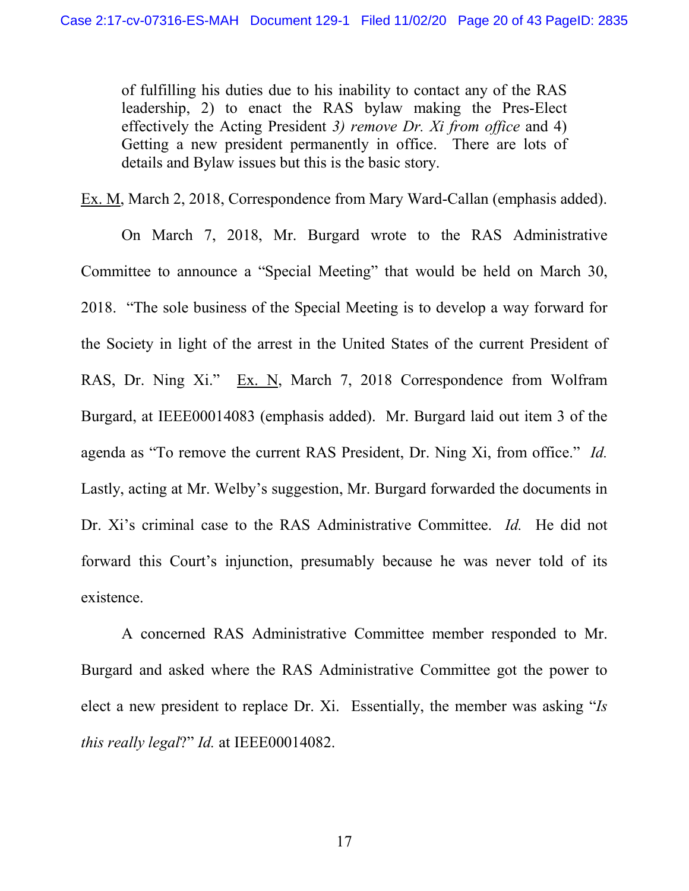of fulfilling his duties due to his inability to contact any of the RAS leadership, 2) to enact the RAS bylaw making the Pres-Elect effectively the Acting President *3) remove Dr. Xi from office* and 4) Getting a new president permanently in office. There are lots of details and Bylaw issues but this is the basic story.

Ex. M, March 2, 2018, Correspondence from Mary Ward-Callan (emphasis added).

On March 7, 2018, Mr. Burgard wrote to the RAS Administrative Committee to announce a "Special Meeting" that would be held on March 30, 2018. "The sole business of the Special Meeting is to develop a way forward for the Society in light of the arrest in the United States of the current President of RAS, Dr. Ning Xi." Ex. N, March 7, 2018 Correspondence from Wolfram Burgard, at IEEE00014083 (emphasis added). Mr. Burgard laid out item 3 of the agenda as "To remove the current RAS President, Dr. Ning Xi, from office." *Id.* Lastly, acting at Mr. Welby's suggestion, Mr. Burgard forwarded the documents in Dr. Xi's criminal case to the RAS Administrative Committee. *Id.* He did not forward this Court's injunction, presumably because he was never told of its existence.

A concerned RAS Administrative Committee member responded to Mr. Burgard and asked where the RAS Administrative Committee got the power to elect a new president to replace Dr. Xi. Essentially, the member was asking "*Is this really legal*?" *Id.* at IEEE00014082.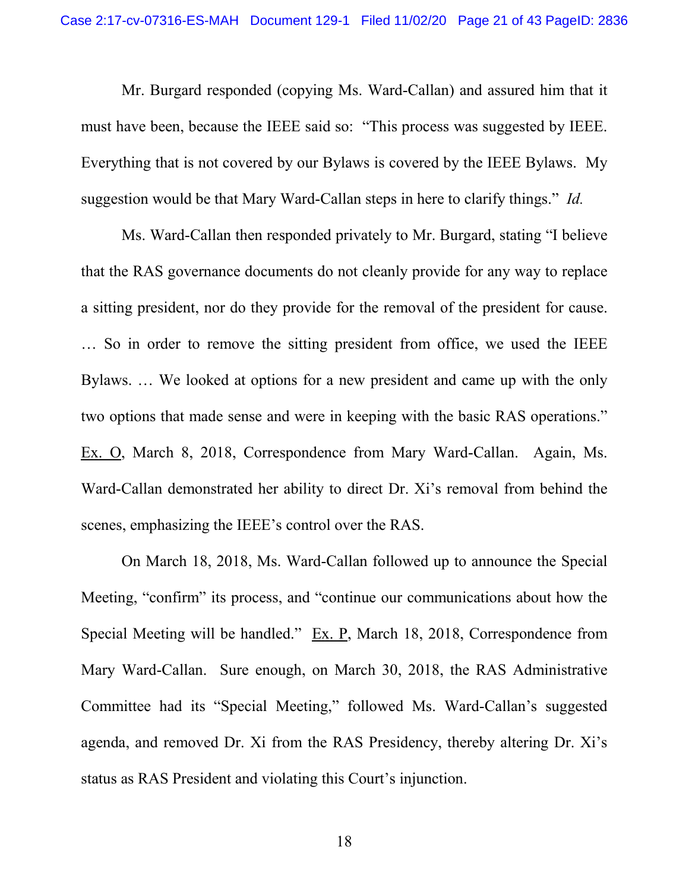Mr. Burgard responded (copying Ms. Ward-Callan) and assured him that it must have been, because the IEEE said so: "This process was suggested by IEEE. Everything that is not covered by our Bylaws is covered by the IEEE Bylaws. My suggestion would be that Mary Ward-Callan steps in here to clarify things." *Id.*

Ms. Ward-Callan then responded privately to Mr. Burgard, stating "I believe that the RAS governance documents do not cleanly provide for any way to replace a sitting president, nor do they provide for the removal of the president for cause. … So in order to remove the sitting president from office, we used the IEEE Bylaws. … We looked at options for a new president and came up with the only two options that made sense and were in keeping with the basic RAS operations." Ex. O, March 8, 2018, Correspondence from Mary Ward-Callan. Again, Ms. Ward-Callan demonstrated her ability to direct Dr. Xi's removal from behind the scenes, emphasizing the IEEE's control over the RAS.

On March 18, 2018, Ms. Ward-Callan followed up to announce the Special Meeting, "confirm" its process, and "continue our communications about how the Special Meeting will be handled." Ex. P, March 18, 2018, Correspondence from Mary Ward-Callan. Sure enough, on March 30, 2018, the RAS Administrative Committee had its "Special Meeting," followed Ms. Ward-Callan's suggested agenda, and removed Dr. Xi from the RAS Presidency, thereby altering Dr. Xi's status as RAS President and violating this Court's injunction.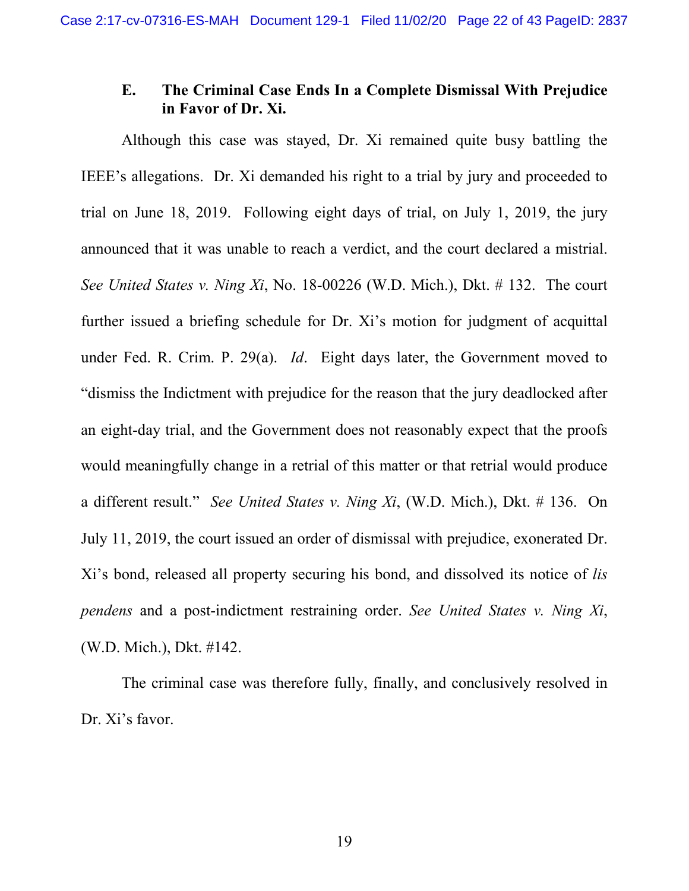## **E. The Criminal Case Ends In a Complete Dismissal With Prejudice in Favor of Dr. Xi.**

<span id="page-21-1"></span><span id="page-21-0"></span>Although this case was stayed, Dr. Xi remained quite busy battling the IEEE's allegations. Dr. Xi demanded his right to a trial by jury and proceeded to trial on June 18, 2019. Following eight days of trial, on July 1, 2019, the jury announced that it was unable to reach a verdict, and the court declared a mistrial. *See United States v. Ning Xi*, No. 18-00226 (W.D. Mich.), Dkt. # 132. The court further issued a briefing schedule for Dr. Xi's motion for judgment of acquittal under Fed. R. Crim. P. 29(a). *Id*. Eight days later, the Government moved to "dismiss the Indictment with prejudice for the reason that the jury deadlocked after an eight-day trial, and the Government does not reasonably expect that the proofs would meaningfully change in a retrial of this matter or that retrial would produce a different result." *See United States v. Ning Xi*, (W.D. Mich.), Dkt. # 136. On July 11, 2019, the court issued an order of dismissal with prejudice, exonerated Dr. Xi's bond, released all property securing his bond, and dissolved its notice of *lis pendens* and a post-indictment restraining order. *See United States v. Ning Xi*, (W.D. Mich.), Dkt. #142.

The criminal case was therefore fully, finally, and conclusively resolved in Dr. Xi's favor.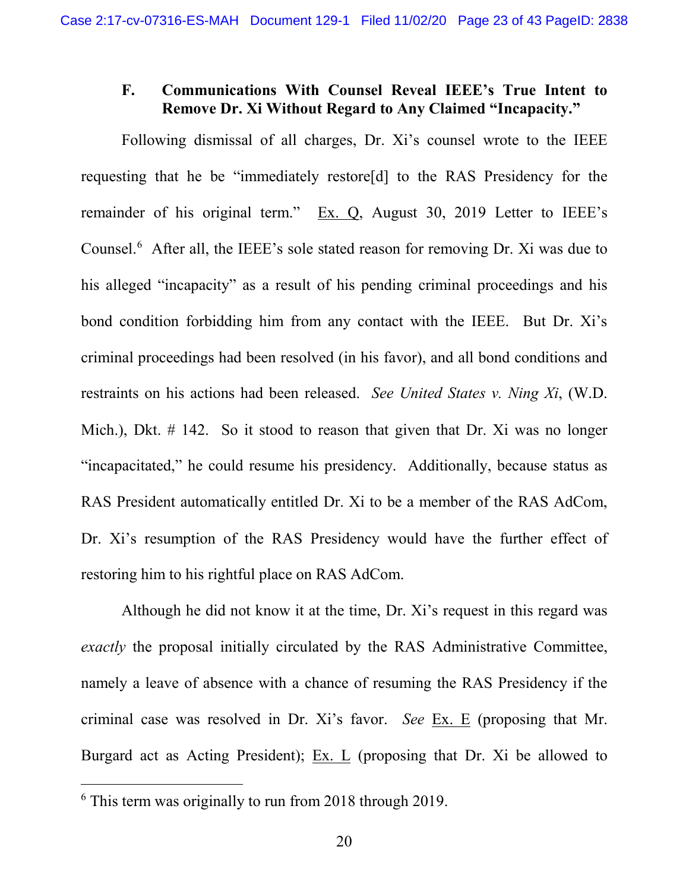### **F. Communications With Counsel Reveal IEEE's True Intent to Remove Dr. Xi Without Regard to Any Claimed "Incapacity."**

Following dismissal of all charges, Dr. Xi's counsel wrote to the IEEE requesting that he be "immediately restore[d] to the RAS Presidency for the remainder of his original term." Ex. Q, August 30, 2019 Letter to IEEE's Counsel.<sup>[6](#page-22-0)</sup> After all, the IEEE's sole stated reason for removing Dr. Xi was due to his alleged "incapacity" as a result of his pending criminal proceedings and his bond condition forbidding him from any contact with the IEEE. But Dr. Xi's criminal proceedings had been resolved (in his favor), and all bond conditions and restraints on his actions had been released. *See United States v. Ning Xi*, (W.D. Mich.), Dkt. # 142. So it stood to reason that given that Dr. Xi was no longer "incapacitated," he could resume his presidency. Additionally, because status as RAS President automatically entitled Dr. Xi to be a member of the RAS AdCom, Dr. Xi's resumption of the RAS Presidency would have the further effect of restoring him to his rightful place on RAS AdCom.

Although he did not know it at the time, Dr. Xi's request in this regard was *exactly* the proposal initially circulated by the RAS Administrative Committee, namely a leave of absence with a chance of resuming the RAS Presidency if the criminal case was resolved in Dr. Xi's favor. *See* Ex. E (proposing that Mr. Burgard act as Acting President); Ex. L (proposing that Dr. Xi be allowed to

<span id="page-22-0"></span> <sup>6</sup> This term was originally to run from 2018 through 2019.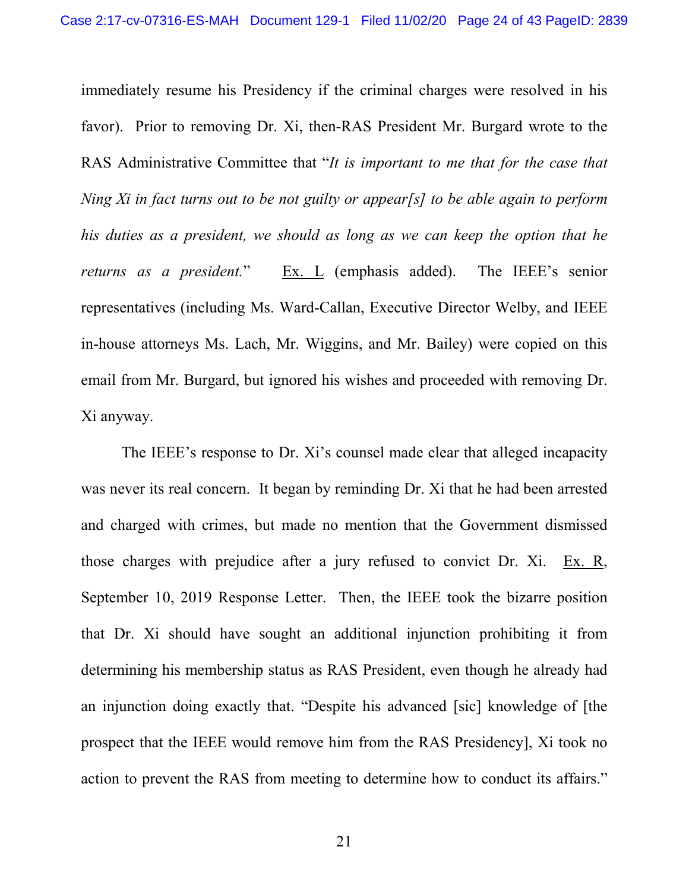immediately resume his Presidency if the criminal charges were resolved in his favor). Prior to removing Dr. Xi, then-RAS President Mr. Burgard wrote to the RAS Administrative Committee that "*It is important to me that for the case that Ning Xi in fact turns out to be not guilty or appear[s] to be able again to perform his duties as a president, we should as long as we can keep the option that he returns as a president.*" Ex. L (emphasis added). The IEEE's senior representatives (including Ms. Ward-Callan, Executive Director Welby, and IEEE in-house attorneys Ms. Lach, Mr. Wiggins, and Mr. Bailey) were copied on this email from Mr. Burgard, but ignored his wishes and proceeded with removing Dr. Xi anyway.

The IEEE's response to Dr. Xi's counsel made clear that alleged incapacity was never its real concern. It began by reminding Dr. Xi that he had been arrested and charged with crimes, but made no mention that the Government dismissed those charges with prejudice after a jury refused to convict Dr. Xi. Ex. R, September 10, 2019 Response Letter. Then, the IEEE took the bizarre position that Dr. Xi should have sought an additional injunction prohibiting it from determining his membership status as RAS President, even though he already had an injunction doing exactly that. "Despite his advanced [sic] knowledge of [the prospect that the IEEE would remove him from the RAS Presidency], Xi took no action to prevent the RAS from meeting to determine how to conduct its affairs."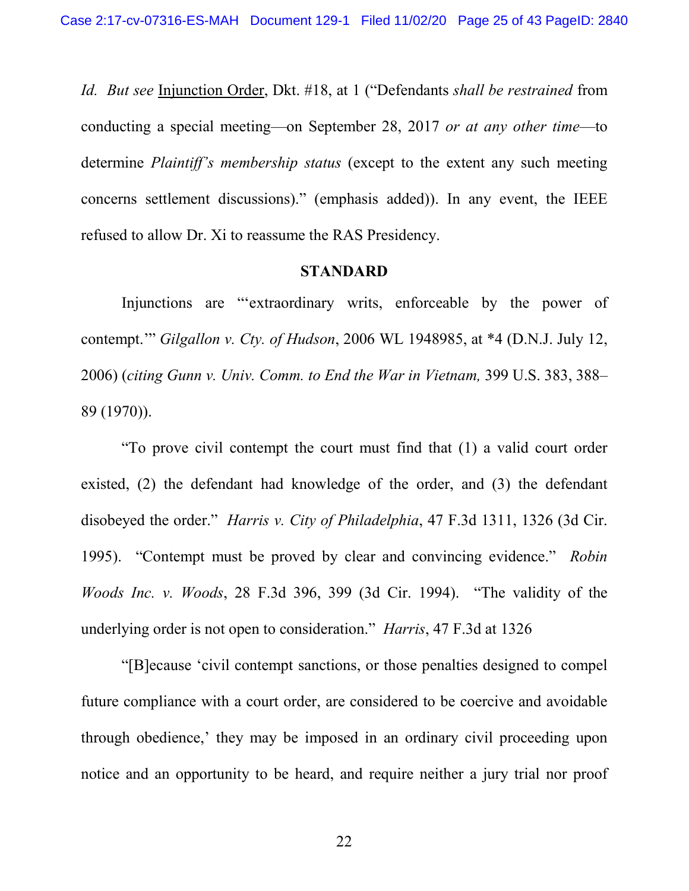*Id. But see* Injunction Order, Dkt. #18, at 1 ("Defendants *shall be restrained* from conducting a special meeting—on September 28, 2017 *or at any other time*—to determine *Plaintiff's membership status* (except to the extent any such meeting concerns settlement discussions)." (emphasis added)). In any event, the IEEE refused to allow Dr. Xi to reassume the RAS Presidency.

#### **STANDARD**

<span id="page-24-0"></span>Injunctions are "'extraordinary writs, enforceable by the power of contempt.'" *Gilgallon v. Cty. of Hudson*, 2006 WL 1948985, at \*4 (D.N.J. July 12, 2006) (*citing Gunn v. Univ. Comm. to End the War in Vietnam,* 399 U.S. 383, 388– 89 (1970)).

<span id="page-24-1"></span>"To prove civil contempt the court must find that (1) a valid court order existed, (2) the defendant had knowledge of the order, and (3) the defendant disobeyed the order." *Harris v. City of Philadelphia*, 47 F.3d 1311, 1326 (3d Cir. 1995). "Contempt must be proved by clear and convincing evidence." *Robin Woods Inc. v. Woods*, 28 F.3d 396, 399 (3d Cir. 1994). "The validity of the underlying order is not open to consideration." *Harris*, 47 F.3d at 1326

"[B]ecause 'civil contempt sanctions, or those penalties designed to compel future compliance with a court order, are considered to be coercive and avoidable through obedience,' they may be imposed in an ordinary civil proceeding upon notice and an opportunity to be heard, and require neither a jury trial nor proof

<span id="page-24-2"></span>22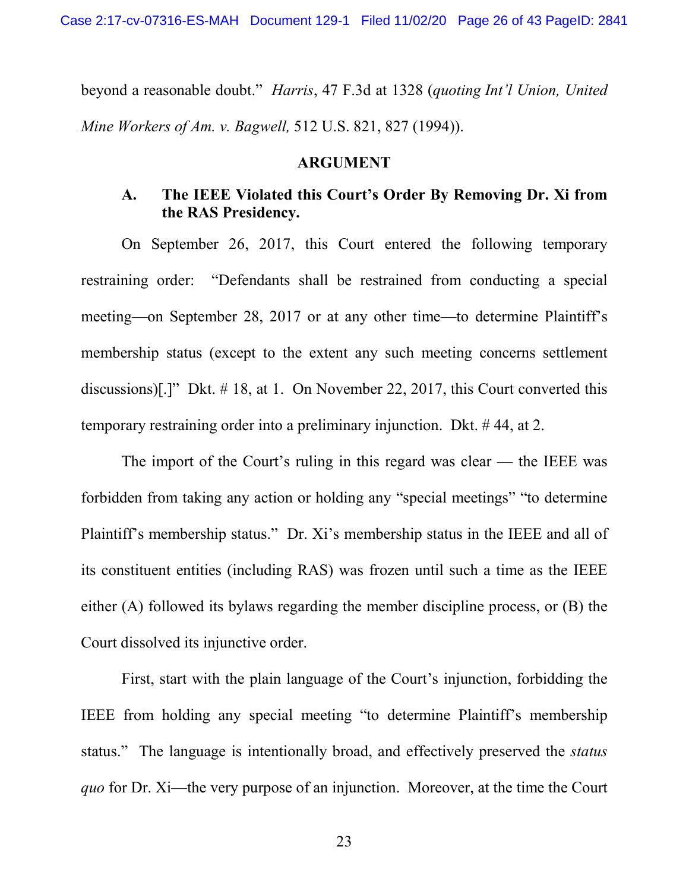Case 2:17-cv-07316-ES-MAH Document 129-1 Filed 11/02/20 Page 26 of 43 PageID: 2841

beyond a reasonable doubt." *Harris*, 47 F.3d at 1328 (*quoting Int'l Union, United Mine Workers of Am. v. Bagwell,* 512 U.S. 821, 827 (1994)).

#### <span id="page-25-0"></span>**ARGUMENT**

## **A. The IEEE Violated this Court's Order By Removing Dr. Xi from the RAS Presidency.**

On September 26, 2017, this Court entered the following temporary restraining order: "Defendants shall be restrained from conducting a special meeting—on September 28, 2017 or at any other time—to determine Plaintiff's membership status (except to the extent any such meeting concerns settlement discussions)[.]" Dkt. # 18, at 1. On November 22, 2017, this Court converted this temporary restraining order into a preliminary injunction. Dkt. # 44, at 2.

The import of the Court's ruling in this regard was clear — the IEEE was forbidden from taking any action or holding any "special meetings" "to determine Plaintiff's membership status." Dr. Xi's membership status in the IEEE and all of its constituent entities (including RAS) was frozen until such a time as the IEEE either (A) followed its bylaws regarding the member discipline process, or (B) the Court dissolved its injunctive order.

First, start with the plain language of the Court's injunction, forbidding the IEEE from holding any special meeting "to determine Plaintiff's membership status." The language is intentionally broad, and effectively preserved the *status quo* for Dr. Xi—the very purpose of an injunction. Moreover, at the time the Court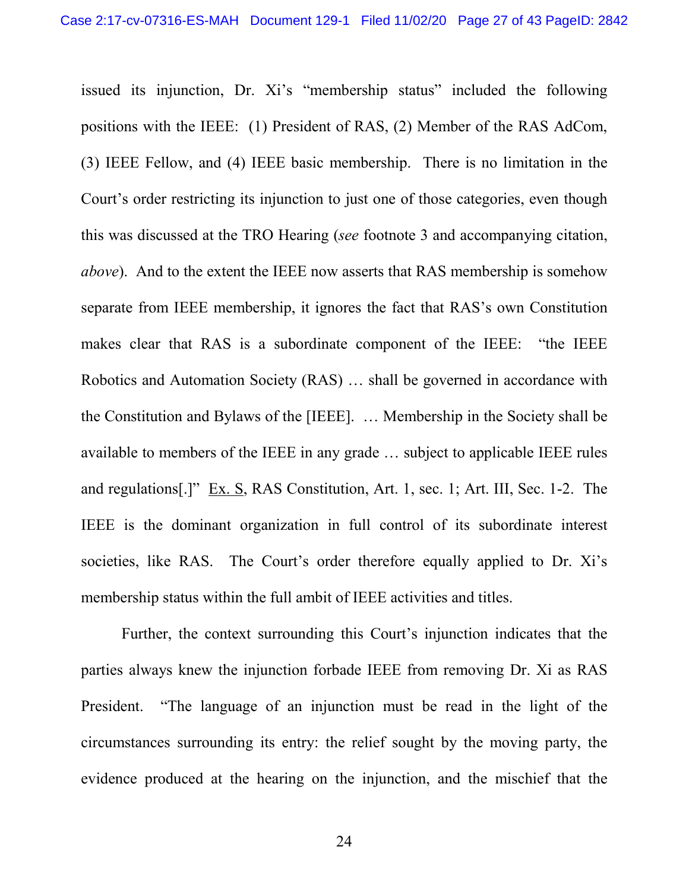issued its injunction, Dr. Xi's "membership status" included the following positions with the IEEE: (1) President of RAS, (2) Member of the RAS AdCom, (3) IEEE Fellow, and (4) IEEE basic membership. There is no limitation in the Court's order restricting its injunction to just one of those categories, even though this was discussed at the TRO Hearing (*see* footnote 3 and accompanying citation, *above*). And to the extent the IEEE now asserts that RAS membership is somehow separate from IEEE membership, it ignores the fact that RAS's own Constitution makes clear that RAS is a subordinate component of the IEEE: "the IEEE Robotics and Automation Society (RAS) … shall be governed in accordance with the Constitution and Bylaws of the [IEEE]. … Membership in the Society shall be available to members of the IEEE in any grade … subject to applicable IEEE rules and regulations[.]" Ex. S, RAS Constitution, Art. 1, sec. 1; Art. III, Sec. 1-2. The IEEE is the dominant organization in full control of its subordinate interest societies, like RAS. The Court's order therefore equally applied to Dr. Xi's membership status within the full ambit of IEEE activities and titles.

Further, the context surrounding this Court's injunction indicates that the parties always knew the injunction forbade IEEE from removing Dr. Xi as RAS President. "The language of an injunction must be read in the light of the circumstances surrounding its entry: the relief sought by the moving party, the evidence produced at the hearing on the injunction, and the mischief that the

24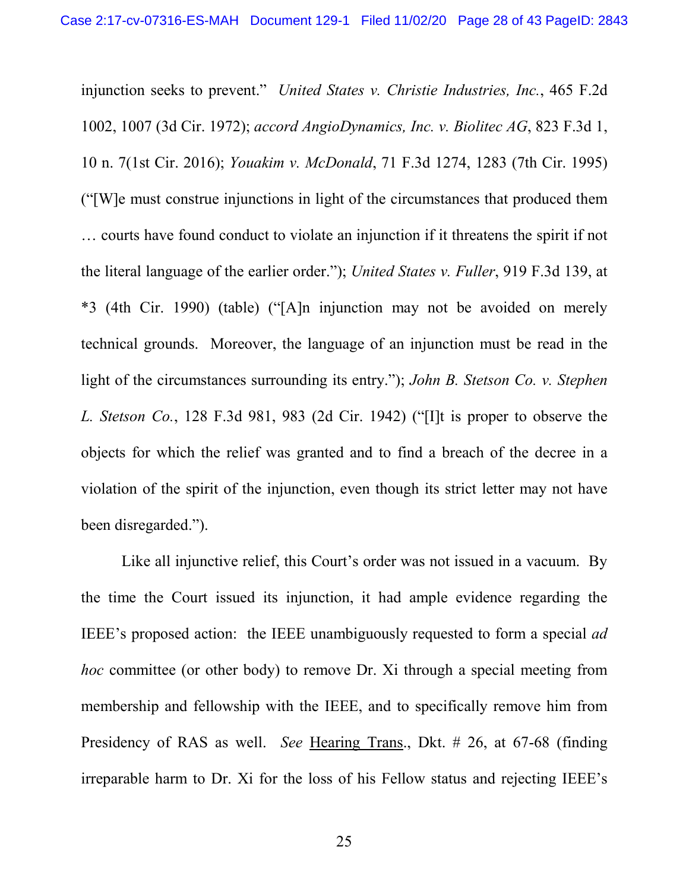<span id="page-27-4"></span><span id="page-27-3"></span><span id="page-27-2"></span><span id="page-27-0"></span>injunction seeks to prevent." *United States v. Christie Industries, Inc.*, 465 F.2d 1002, 1007 (3d Cir. 1972); *accord AngioDynamics, Inc. v. Biolitec AG*, 823 F.3d 1, 10 n. 7(1st Cir. 2016); *Youakim v. McDonald*, 71 F.3d 1274, 1283 (7th Cir. 1995) ("[W]e must construe injunctions in light of the circumstances that produced them … courts have found conduct to violate an injunction if it threatens the spirit if not the literal language of the earlier order."); *United States v. Fuller*, 919 F.3d 139, at \*3 (4th Cir. 1990) (table) ("[A]n injunction may not be avoided on merely technical grounds. Moreover, the language of an injunction must be read in the light of the circumstances surrounding its entry."); *John B. Stetson Co. v. Stephen L. Stetson Co.*, 128 F.3d 981, 983 (2d Cir. 1942) ("[I]t is proper to observe the objects for which the relief was granted and to find a breach of the decree in a violation of the spirit of the injunction, even though its strict letter may not have been disregarded.").

<span id="page-27-1"></span>Like all injunctive relief, this Court's order was not issued in a vacuum. By the time the Court issued its injunction, it had ample evidence regarding the IEEE's proposed action: the IEEE unambiguously requested to form a special *ad hoc* committee (or other body) to remove Dr. Xi through a special meeting from membership and fellowship with the IEEE, and to specifically remove him from Presidency of RAS as well. *See* Hearing Trans., Dkt. # 26, at 67-68 (finding irreparable harm to Dr. Xi for the loss of his Fellow status and rejecting IEEE's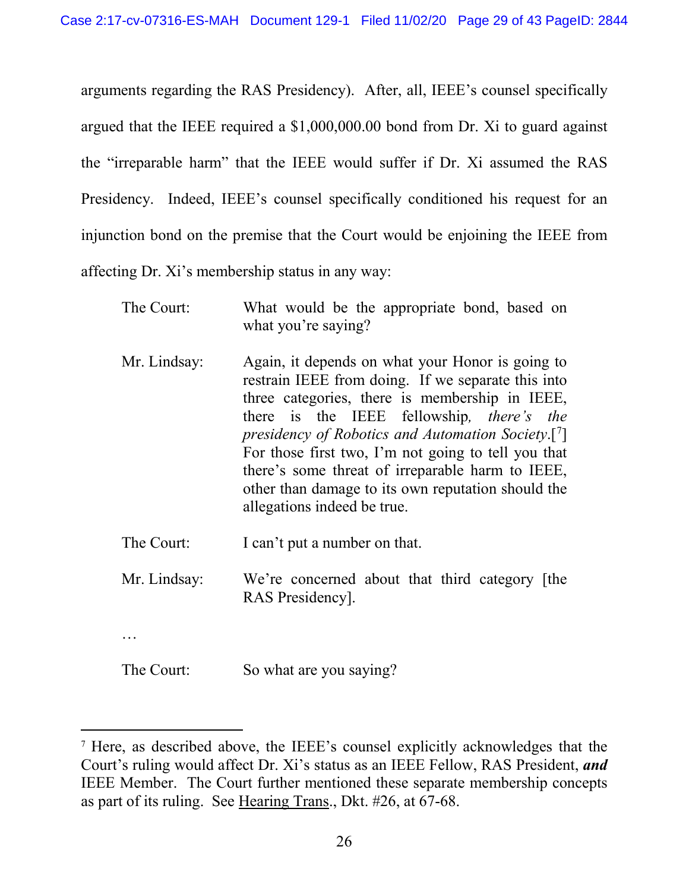arguments regarding the RAS Presidency). After, all, IEEE's counsel specifically argued that the IEEE required a \$1,000,000.00 bond from Dr. Xi to guard against the "irreparable harm" that the IEEE would suffer if Dr. Xi assumed the RAS Presidency. Indeed, IEEE's counsel specifically conditioned his request for an injunction bond on the premise that the Court would be enjoining the IEEE from affecting Dr. Xi's membership status in any way:

| The Court:   | What would be the appropriate bond, based on<br>what you're saying?                                                                                                                                                                                                                                                                                                                                                                                                                  |
|--------------|--------------------------------------------------------------------------------------------------------------------------------------------------------------------------------------------------------------------------------------------------------------------------------------------------------------------------------------------------------------------------------------------------------------------------------------------------------------------------------------|
| Mr. Lindsay: | Again, it depends on what your Honor is going to<br>restrain IEEE from doing. If we separate this into<br>three categories, there is membership in IEEE,<br>there is the IEEE fellowship, <i>there's</i> the<br>presidency of Robotics and Automation Society. $\lceil \cdot \rceil$<br>For those first two, I'm not going to tell you that<br>there's some threat of irreparable harm to IEEE,<br>other than damage to its own reputation should the<br>allegations indeed be true. |
| The Court:   | I can't put a number on that.                                                                                                                                                                                                                                                                                                                                                                                                                                                        |
| Mr. Lindsay: | We're concerned about that third category [the<br>RAS Presidency.                                                                                                                                                                                                                                                                                                                                                                                                                    |
|              |                                                                                                                                                                                                                                                                                                                                                                                                                                                                                      |
| The Court:   | So what are you saying?                                                                                                                                                                                                                                                                                                                                                                                                                                                              |

<span id="page-28-0"></span> <sup>7</sup> Here, as described above, the IEEE's counsel explicitly acknowledges that the Court's ruling would affect Dr. Xi's status as an IEEE Fellow, RAS President, *and* IEEE Member. The Court further mentioned these separate membership concepts as part of its ruling. See Hearing Trans., Dkt. #26, at 67-68.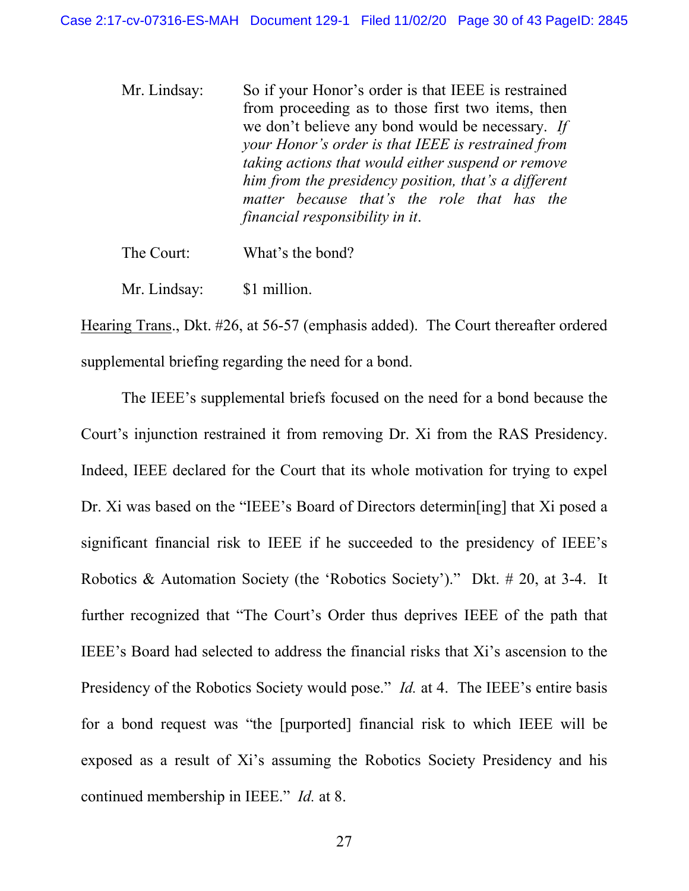Mr. Lindsay: So if your Honor's order is that IEEE is restrained from proceeding as to those first two items, then we don't believe any bond would be necessary. *If your Honor's order is that IEEE is restrained from taking actions that would either suspend or remove him from the presidency position, that's a different matter because that's the role that has the financial responsibility in it*.

The Court: What's the bond?

Mr. Lindsay: \$1 million.

Hearing Trans., Dkt. #26, at 56-57 (emphasis added). The Court thereafter ordered supplemental briefing regarding the need for a bond.

The IEEE's supplemental briefs focused on the need for a bond because the Court's injunction restrained it from removing Dr. Xi from the RAS Presidency. Indeed, IEEE declared for the Court that its whole motivation for trying to expel Dr. Xi was based on the "IEEE's Board of Directors determin[ing] that Xi posed a significant financial risk to IEEE if he succeeded to the presidency of IEEE's Robotics & Automation Society (the 'Robotics Society')." Dkt. # 20, at 3-4. It further recognized that "The Court's Order thus deprives IEEE of the path that IEEE's Board had selected to address the financial risks that Xi's ascension to the Presidency of the Robotics Society would pose." *Id.* at 4. The IEEE's entire basis for a bond request was "the [purported] financial risk to which IEEE will be exposed as a result of Xi's assuming the Robotics Society Presidency and his continued membership in IEEE." *Id.* at 8.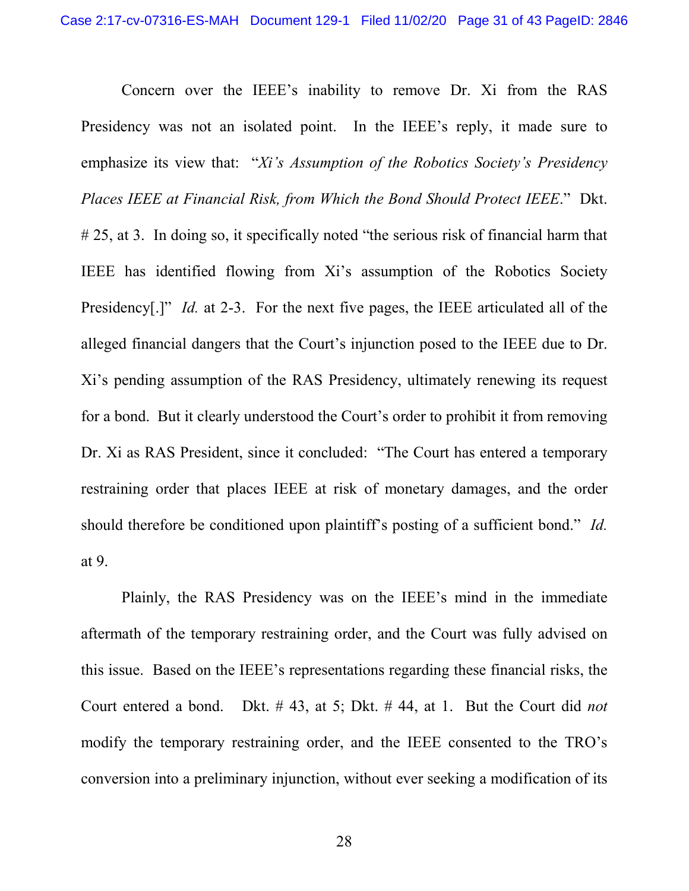Concern over the IEEE's inability to remove Dr. Xi from the RAS Presidency was not an isolated point. In the IEEE's reply, it made sure to emphasize its view that: "*Xi's Assumption of the Robotics Society's Presidency Places IEEE at Financial Risk, from Which the Bond Should Protect IEEE*." Dkt. # 25, at 3. In doing so, it specifically noted "the serious risk of financial harm that IEEE has identified flowing from Xi's assumption of the Robotics Society Presidency<sup>[1]</sup>" *Id.* at 2-3. For the next five pages, the IEEE articulated all of the alleged financial dangers that the Court's injunction posed to the IEEE due to Dr. Xi's pending assumption of the RAS Presidency, ultimately renewing its request for a bond. But it clearly understood the Court's order to prohibit it from removing Dr. Xi as RAS President, since it concluded: "The Court has entered a temporary restraining order that places IEEE at risk of monetary damages, and the order should therefore be conditioned upon plaintiff's posting of a sufficient bond." *Id.* at 9.

Plainly, the RAS Presidency was on the IEEE's mind in the immediate aftermath of the temporary restraining order, and the Court was fully advised on this issue. Based on the IEEE's representations regarding these financial risks, the Court entered a bond. Dkt. # 43, at 5; Dkt. # 44, at 1. But the Court did *not* modify the temporary restraining order, and the IEEE consented to the TRO's conversion into a preliminary injunction, without ever seeking a modification of its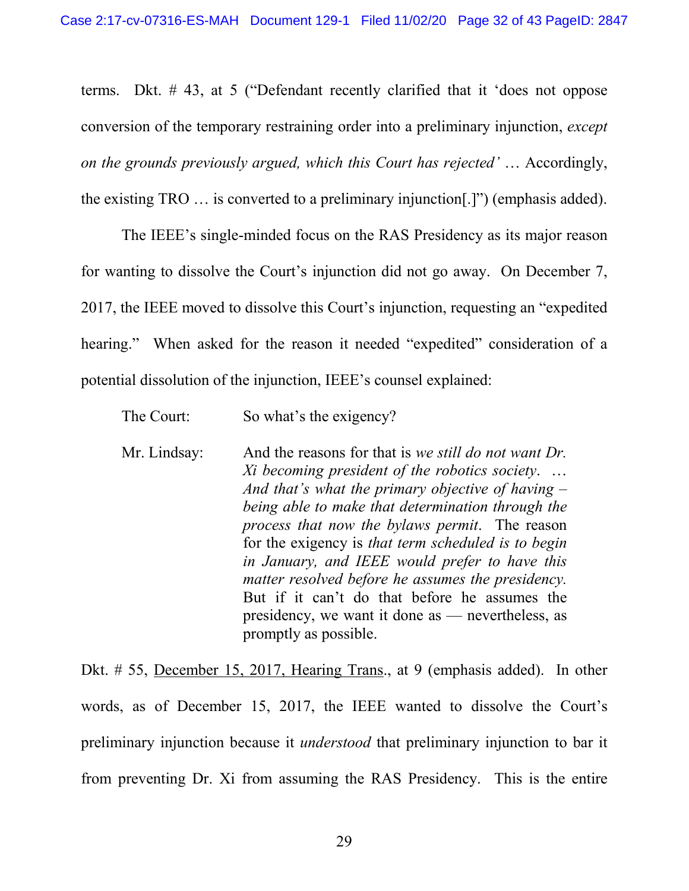terms. Dkt. # 43, at 5 ("Defendant recently clarified that it 'does not oppose conversion of the temporary restraining order into a preliminary injunction, *except on the grounds previously argued, which this Court has rejected'* … Accordingly, the existing TRO … is converted to a preliminary injunction[.]") (emphasis added).

The IEEE's single-minded focus on the RAS Presidency as its major reason for wanting to dissolve the Court's injunction did not go away. On December 7, 2017, the IEEE moved to dissolve this Court's injunction, requesting an "expedited hearing." When asked for the reason it needed "expedited" consideration of a potential dissolution of the injunction, IEEE's counsel explained:

| The Court:   | So what's the exigency?                                                                                                                                                                                                                                                                                                                                                                                                                                                                                                                                           |
|--------------|-------------------------------------------------------------------------------------------------------------------------------------------------------------------------------------------------------------------------------------------------------------------------------------------------------------------------------------------------------------------------------------------------------------------------------------------------------------------------------------------------------------------------------------------------------------------|
| Mr. Lindsay: | And the reasons for that is we still do not want Dr.<br>Xi becoming president of the robotics society.<br>And that's what the primary objective of having $-$<br>being able to make that determination through the<br>process that now the bylaws permit. The reason<br>for the exigency is that term scheduled is to begin<br>in January, and IEEE would prefer to have this<br>matter resolved before he assumes the presidency.<br>But if it can't do that before he assumes the<br>presidency, we want it done as — nevertheless, as<br>promptly as possible. |

Dkt. # 55, December 15, 2017, Hearing Trans., at 9 (emphasis added). In other words, as of December 15, 2017, the IEEE wanted to dissolve the Court's preliminary injunction because it *understood* that preliminary injunction to bar it from preventing Dr. Xi from assuming the RAS Presidency. This is the entire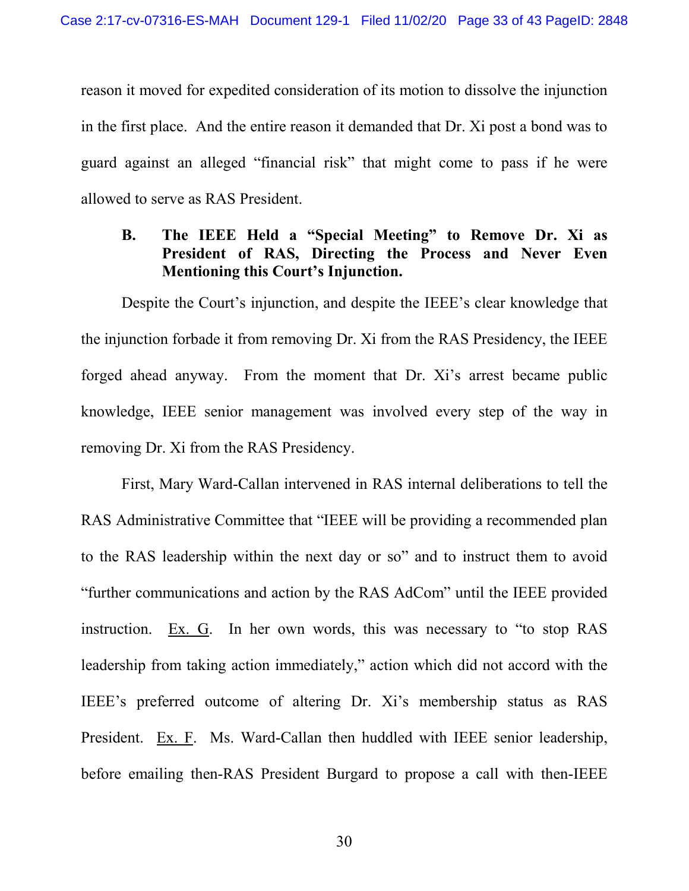reason it moved for expedited consideration of its motion to dissolve the injunction in the first place. And the entire reason it demanded that Dr. Xi post a bond was to guard against an alleged "financial risk" that might come to pass if he were allowed to serve as RAS President.

## **B. The IEEE Held a "Special Meeting" to Remove Dr. Xi as President of RAS, Directing the Process and Never Even Mentioning this Court's Injunction.**

Despite the Court's injunction, and despite the IEEE's clear knowledge that the injunction forbade it from removing Dr. Xi from the RAS Presidency, the IEEE forged ahead anyway. From the moment that Dr. Xi's arrest became public knowledge, IEEE senior management was involved every step of the way in removing Dr. Xi from the RAS Presidency.

First, Mary Ward-Callan intervened in RAS internal deliberations to tell the RAS Administrative Committee that "IEEE will be providing a recommended plan to the RAS leadership within the next day or so" and to instruct them to avoid "further communications and action by the RAS AdCom" until the IEEE provided instruction. Ex. G. In her own words, this was necessary to "to stop RAS leadership from taking action immediately," action which did not accord with the IEEE's preferred outcome of altering Dr. Xi's membership status as RAS President. Ex. F. Ms. Ward-Callan then huddled with IEEE senior leadership, before emailing then-RAS President Burgard to propose a call with then-IEEE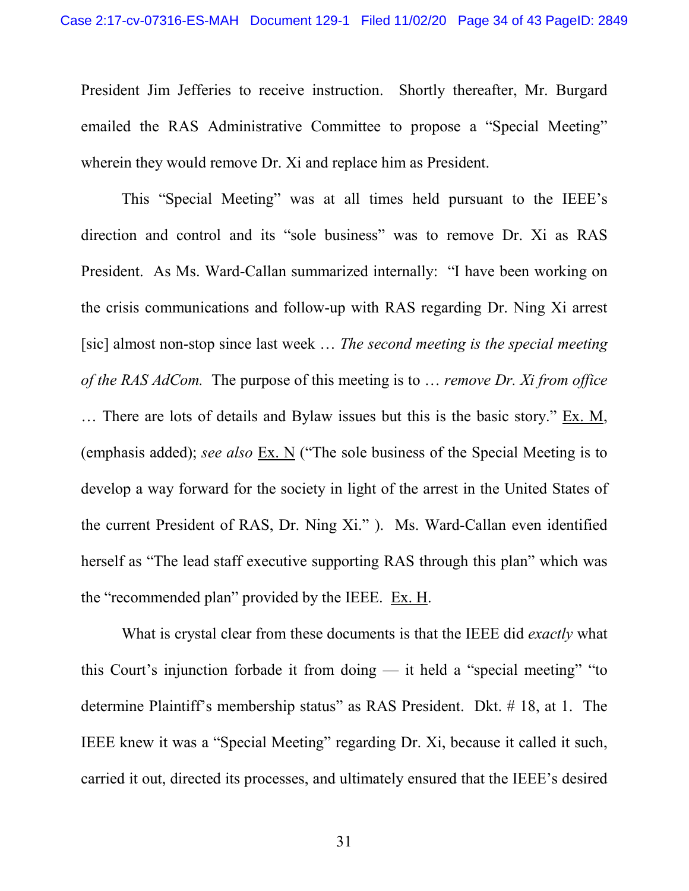President Jim Jefferies to receive instruction. Shortly thereafter, Mr. Burgard emailed the RAS Administrative Committee to propose a "Special Meeting" wherein they would remove Dr. Xi and replace him as President.

This "Special Meeting" was at all times held pursuant to the IEEE's direction and control and its "sole business" was to remove Dr. Xi as RAS President. As Ms. Ward-Callan summarized internally: "I have been working on the crisis communications and follow-up with RAS regarding Dr. Ning Xi arrest [sic] almost non-stop since last week … *The second meeting is the special meeting of the RAS AdCom.* The purpose of this meeting is to … *remove Dr. Xi from office* … There are lots of details and Bylaw issues but this is the basic story." Ex. M, (emphasis added); *see also* Ex. N ("The sole business of the Special Meeting is to develop a way forward for the society in light of the arrest in the United States of the current President of RAS, Dr. Ning Xi." ). Ms. Ward-Callan even identified herself as "The lead staff executive supporting RAS through this plan" which was the "recommended plan" provided by the IEEE. Ex. H.

What is crystal clear from these documents is that the IEEE did *exactly* what this Court's injunction forbade it from doing — it held a "special meeting" "to determine Plaintiff's membership status" as RAS President. Dkt. # 18, at 1. The IEEE knew it was a "Special Meeting" regarding Dr. Xi, because it called it such, carried it out, directed its processes, and ultimately ensured that the IEEE's desired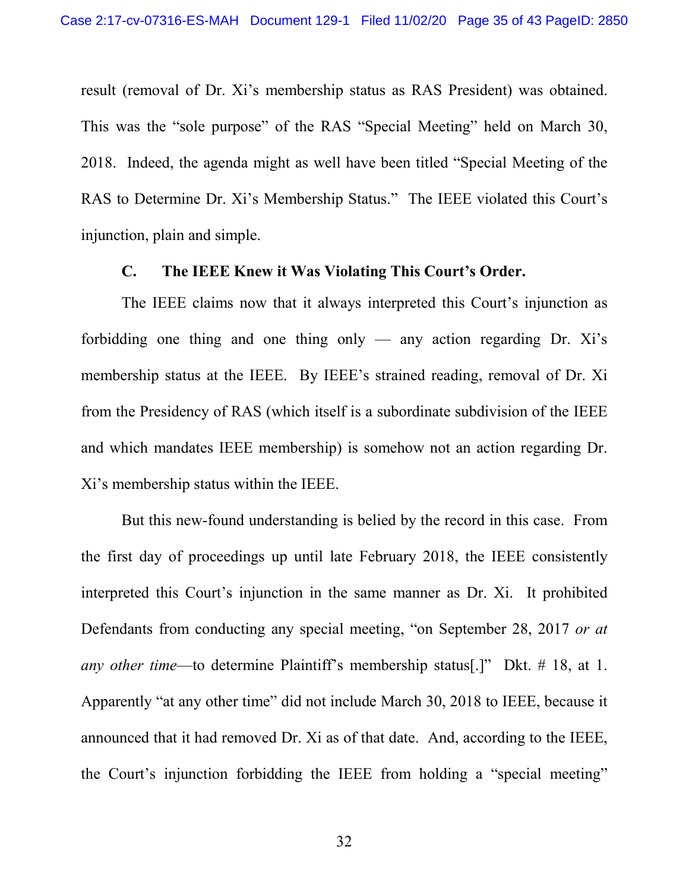result (removal of Dr. Xi's membership status as RAS President) was obtained. This was the "sole purpose" of the RAS "Special Meeting" held on March 30, 2018. Indeed, the agenda might as well have been titled "Special Meeting of the RAS to Determine Dr. Xi's Membership Status." The IEEE violated this Court's injunction, plain and simple.

#### **C. The IEEE Knew it Was Violating This Court's Order.**

The IEEE claims now that it always interpreted this Court's injunction as forbidding one thing and one thing only — any action regarding Dr.  $Xi's$ membership status at the IEEE. By IEEE's strained reading, removal of Dr. Xi from the Presidency of RAS (which itself is a subordinate subdivision of the IEEE and which mandates IEEE membership) is somehow not an action regarding Dr. Xi's membership status within the IEEE.

But this new-found understanding is belied by the record in this case. From the first day of proceedings up until late February 2018, the IEEE consistently interpreted this Court's injunction in the same manner as Dr. Xi. It prohibited Defendants from conducting any special meeting, "on September 28, 2017 *or at any other time*—to determine Plaintiff's membership status[.]" Dkt. # 18, at 1. Apparently "at any other time" did not include March 30, 2018 to IEEE, because it announced that it had removed Dr. Xi as of that date. And, according to the IEEE, the Court's injunction forbidding the IEEE from holding a "special meeting"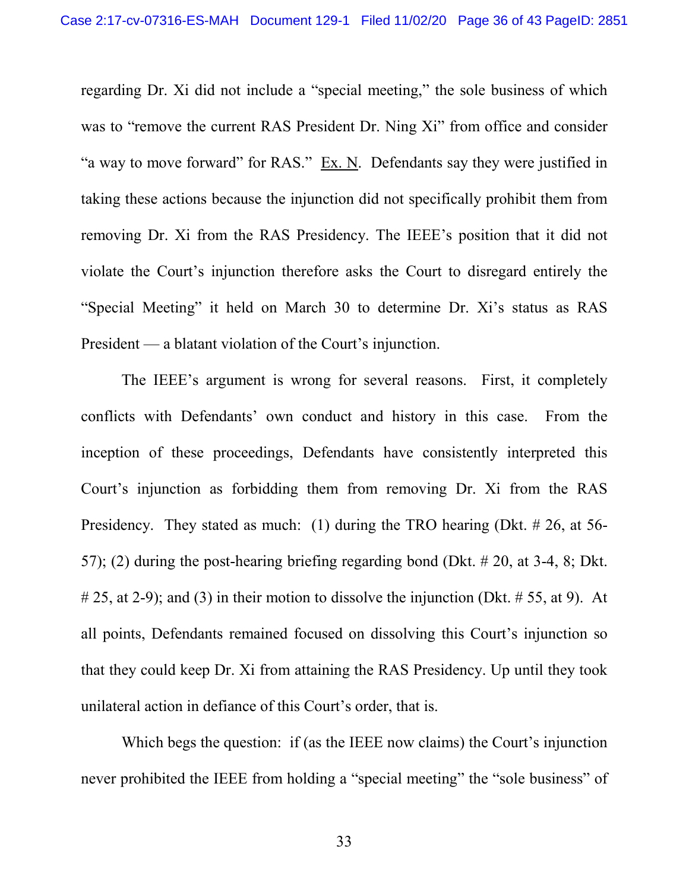regarding Dr. Xi did not include a "special meeting," the sole business of which was to "remove the current RAS President Dr. Ning Xi" from office and consider "a way to move forward" for RAS." Ex. N. Defendants say they were justified in taking these actions because the injunction did not specifically prohibit them from removing Dr. Xi from the RAS Presidency. The IEEE's position that it did not violate the Court's injunction therefore asks the Court to disregard entirely the "Special Meeting" it held on March 30 to determine Dr. Xi's status as RAS President — a blatant violation of the Court's injunction.

The IEEE's argument is wrong for several reasons. First, it completely conflicts with Defendants' own conduct and history in this case. From the inception of these proceedings, Defendants have consistently interpreted this Court's injunction as forbidding them from removing Dr. Xi from the RAS Presidency. They stated as much: (1) during the TRO hearing (Dkt. # 26, at 56-57); (2) during the post-hearing briefing regarding bond (Dkt. # 20, at 3-4, 8; Dkt.  $\# 25$ , at 2-9); and (3) in their motion to dissolve the injunction (Dkt.  $\# 55$ , at 9). At all points, Defendants remained focused on dissolving this Court's injunction so that they could keep Dr. Xi from attaining the RAS Presidency. Up until they took unilateral action in defiance of this Court's order, that is.

Which begs the question: if (as the IEEE now claims) the Court's injunction never prohibited the IEEE from holding a "special meeting" the "sole business" of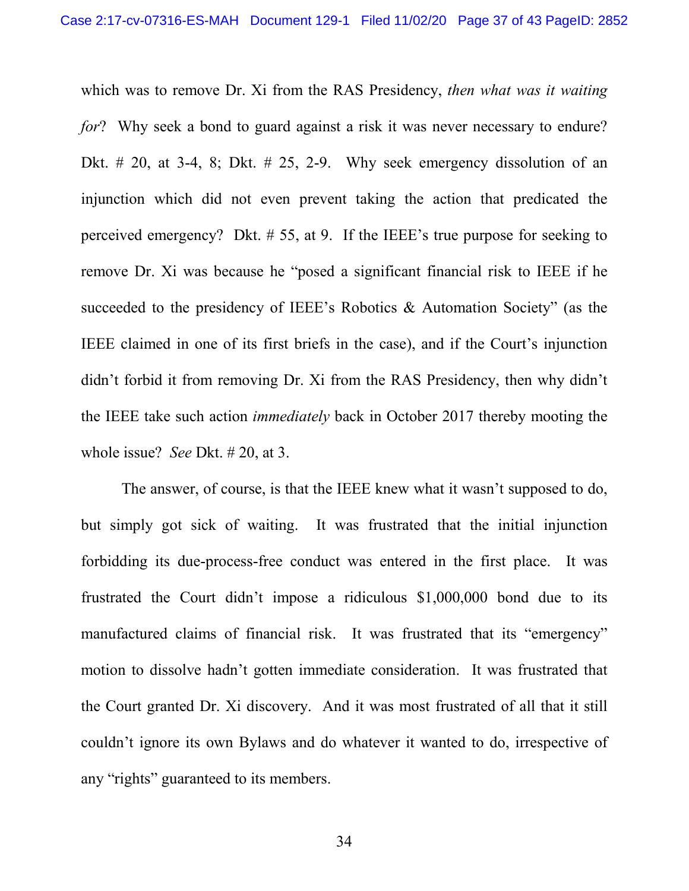which was to remove Dr. Xi from the RAS Presidency, *then what was it waiting for*? Why seek a bond to guard against a risk it was never necessary to endure? Dkt.  $\#$  20, at 3-4, 8; Dkt.  $\#$  25, 2-9. Why seek emergency dissolution of an injunction which did not even prevent taking the action that predicated the perceived emergency? Dkt. # 55, at 9. If the IEEE's true purpose for seeking to remove Dr. Xi was because he "posed a significant financial risk to IEEE if he succeeded to the presidency of IEEE's Robotics & Automation Society" (as the IEEE claimed in one of its first briefs in the case), and if the Court's injunction didn't forbid it from removing Dr. Xi from the RAS Presidency, then why didn't the IEEE take such action *immediately* back in October 2017 thereby mooting the whole issue? *See* Dkt. # 20, at 3.

The answer, of course, is that the IEEE knew what it wasn't supposed to do, but simply got sick of waiting. It was frustrated that the initial injunction forbidding its due-process-free conduct was entered in the first place. It was frustrated the Court didn't impose a ridiculous \$1,000,000 bond due to its manufactured claims of financial risk. It was frustrated that its "emergency" motion to dissolve hadn't gotten immediate consideration. It was frustrated that the Court granted Dr. Xi discovery. And it was most frustrated of all that it still couldn't ignore its own Bylaws and do whatever it wanted to do, irrespective of any "rights" guaranteed to its members.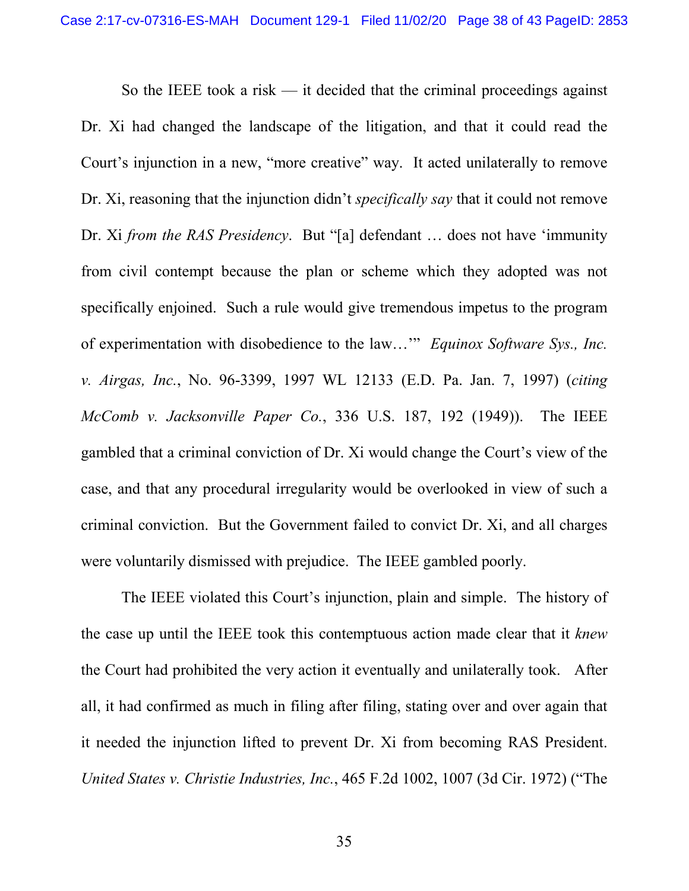<span id="page-37-0"></span>So the IEEE took a risk  $-$  it decided that the criminal proceedings against Dr. Xi had changed the landscape of the litigation, and that it could read the Court's injunction in a new, "more creative" way. It acted unilaterally to remove Dr. Xi, reasoning that the injunction didn't *specifically say* that it could not remove Dr. Xi *from the RAS Presidency*. But "[a] defendant … does not have 'immunity from civil contempt because the plan or scheme which they adopted was not specifically enjoined. Such a rule would give tremendous impetus to the program of experimentation with disobedience to the law…'" *Equinox Software Sys., Inc. v. Airgas, Inc.*, No. 96-3399, 1997 WL 12133 (E.D. Pa. Jan. 7, 1997) (*citing McComb v. Jacksonville Paper Co.*, 336 U.S. 187, 192 (1949)). The IEEE gambled that a criminal conviction of Dr. Xi would change the Court's view of the case, and that any procedural irregularity would be overlooked in view of such a criminal conviction. But the Government failed to convict Dr. Xi, and all charges were voluntarily dismissed with prejudice. The IEEE gambled poorly.

<span id="page-37-1"></span>The IEEE violated this Court's injunction, plain and simple. The history of the case up until the IEEE took this contemptuous action made clear that it *knew* the Court had prohibited the very action it eventually and unilaterally took. After all, it had confirmed as much in filing after filing, stating over and over again that it needed the injunction lifted to prevent Dr. Xi from becoming RAS President. *United States v. Christie Industries, Inc.*, 465 F.2d 1002, 1007 (3d Cir. 1972) ("The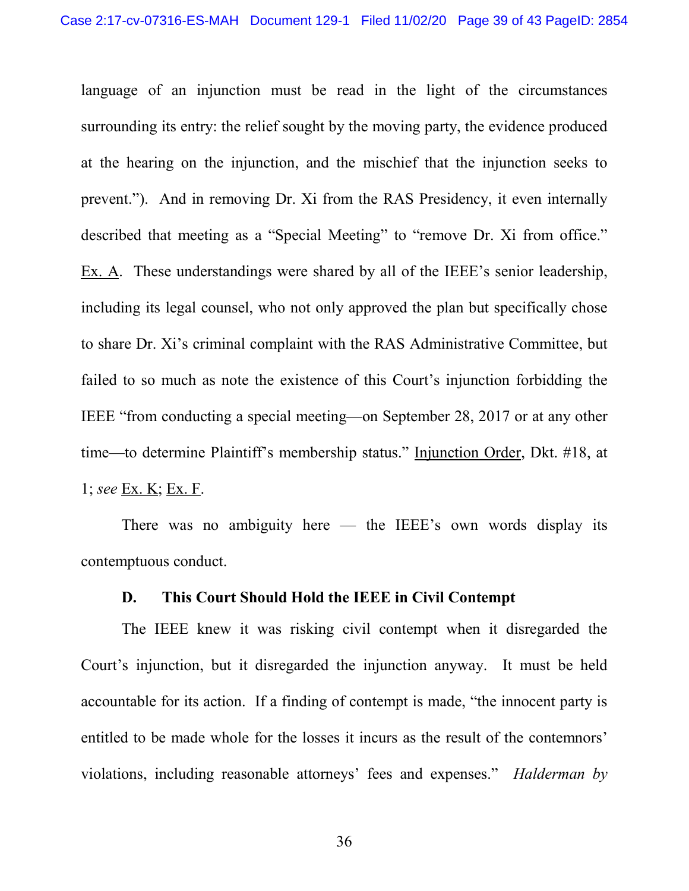language of an injunction must be read in the light of the circumstances surrounding its entry: the relief sought by the moving party, the evidence produced at the hearing on the injunction, and the mischief that the injunction seeks to prevent."). And in removing Dr. Xi from the RAS Presidency, it even internally described that meeting as a "Special Meeting" to "remove Dr. Xi from office." Ex. A. These understandings were shared by all of the IEEE's senior leadership, including its legal counsel, who not only approved the plan but specifically chose to share Dr. Xi's criminal complaint with the RAS Administrative Committee, but failed to so much as note the existence of this Court's injunction forbidding the IEEE "from conducting a special meeting—on September 28, 2017 or at any other time—to determine Plaintiff's membership status." Injunction Order, Dkt. #18, at 1; *see* Ex. K; Ex. F.

There was no ambiguity here  $-$  the IEEE's own words display its contemptuous conduct.

### **D. This Court Should Hold the IEEE in Civil Contempt**

The IEEE knew it was risking civil contempt when it disregarded the Court's injunction, but it disregarded the injunction anyway. It must be held accountable for its action. If a finding of contempt is made, "the innocent party is entitled to be made whole for the losses it incurs as the result of the contemnors' violations, including reasonable attorneys' fees and expenses." *Halderman by* 

<span id="page-38-0"></span>36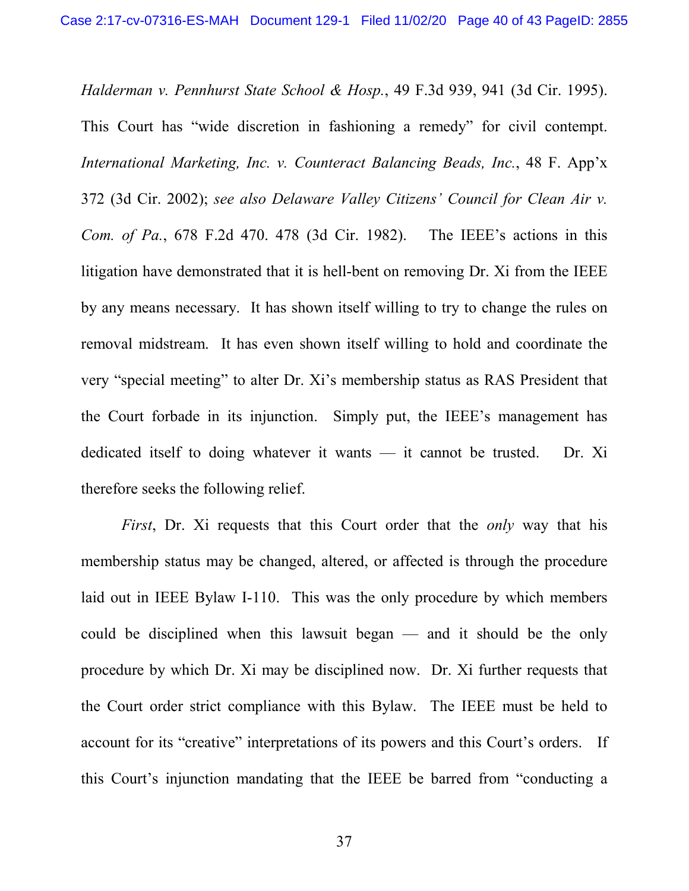*Halderman v. Pennhurst State School & Hosp.*, 49 F.3d 939, 941 (3d Cir. 1995). This Court has "wide discretion in fashioning a remedy" for civil contempt. *International Marketing, Inc. v. Counteract Balancing Beads, Inc.*, 48 F. App'x 372 (3d Cir. 2002); *see also Delaware Valley Citizens' Council for Clean Air v. Com. of Pa.*, 678 F.2d 470. 478 (3d Cir. 1982). The IEEE's actions in this litigation have demonstrated that it is hell-bent on removing Dr. Xi from the IEEE by any means necessary. It has shown itself willing to try to change the rules on removal midstream. It has even shown itself willing to hold and coordinate the very "special meeting" to alter Dr. Xi's membership status as RAS President that the Court forbade in its injunction. Simply put, the IEEE's management has dedicated itself to doing whatever it wants — it cannot be trusted. Dr. Xi therefore seeks the following relief.

*First*, Dr. Xi requests that this Court order that the *only* way that his membership status may be changed, altered, or affected is through the procedure laid out in IEEE Bylaw I-110. This was the only procedure by which members could be disciplined when this lawsuit began — and it should be the only procedure by which Dr. Xi may be disciplined now. Dr. Xi further requests that the Court order strict compliance with this Bylaw. The IEEE must be held to account for its "creative" interpretations of its powers and this Court's orders. If this Court's injunction mandating that the IEEE be barred from "conducting a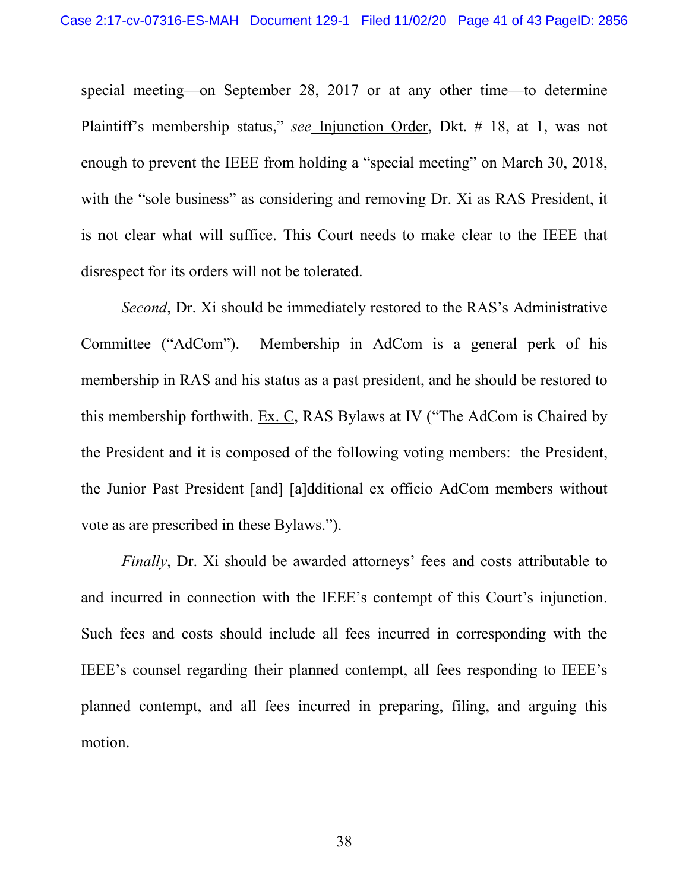special meeting—on September 28, 2017 or at any other time—to determine Plaintiff's membership status," *see* Injunction Order, Dkt. # 18, at 1, was not enough to prevent the IEEE from holding a "special meeting" on March 30, 2018, with the "sole business" as considering and removing Dr. Xi as RAS President, it is not clear what will suffice. This Court needs to make clear to the IEEE that disrespect for its orders will not be tolerated.

*Second*, Dr. Xi should be immediately restored to the RAS's Administrative Committee ("AdCom"). Membership in AdCom is a general perk of his membership in RAS and his status as a past president, and he should be restored to this membership forthwith. Ex. C, RAS Bylaws at IV ("The AdCom is Chaired by the President and it is composed of the following voting members: the President, the Junior Past President [and] [a]dditional ex officio AdCom members without vote as are prescribed in these Bylaws.").

*Finally*, Dr. Xi should be awarded attorneys' fees and costs attributable to and incurred in connection with the IEEE's contempt of this Court's injunction. Such fees and costs should include all fees incurred in corresponding with the IEEE's counsel regarding their planned contempt, all fees responding to IEEE's planned contempt, and all fees incurred in preparing, filing, and arguing this motion.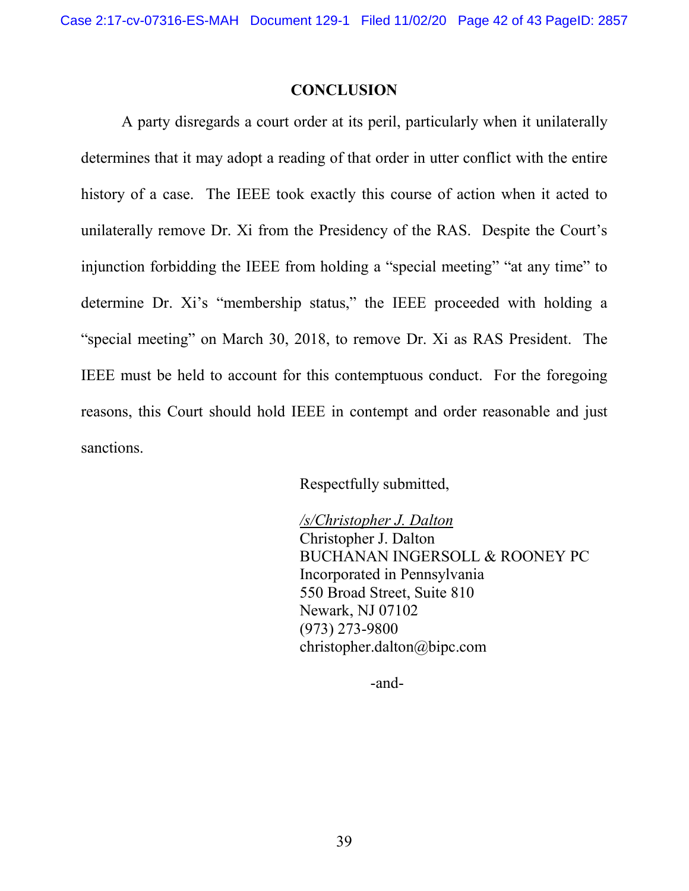#### **CONCLUSION**

A party disregards a court order at its peril, particularly when it unilaterally determines that it may adopt a reading of that order in utter conflict with the entire history of a case. The IEEE took exactly this course of action when it acted to unilaterally remove Dr. Xi from the Presidency of the RAS. Despite the Court's injunction forbidding the IEEE from holding a "special meeting" "at any time" to determine Dr. Xi's "membership status," the IEEE proceeded with holding a "special meeting" on March 30, 2018, to remove Dr. Xi as RAS President. The IEEE must be held to account for this contemptuous conduct. For the foregoing reasons, this Court should hold IEEE in contempt and order reasonable and just sanctions.

Respectfully submitted,

*/s/Christopher J. Dalton* Christopher J. Dalton BUCHANAN INGERSOLL & ROONEY PC Incorporated in Pennsylvania 550 Broad Street, Suite 810 Newark, NJ 07102 (973) 273-9800 christopher.dalton@bipc.com

-and-